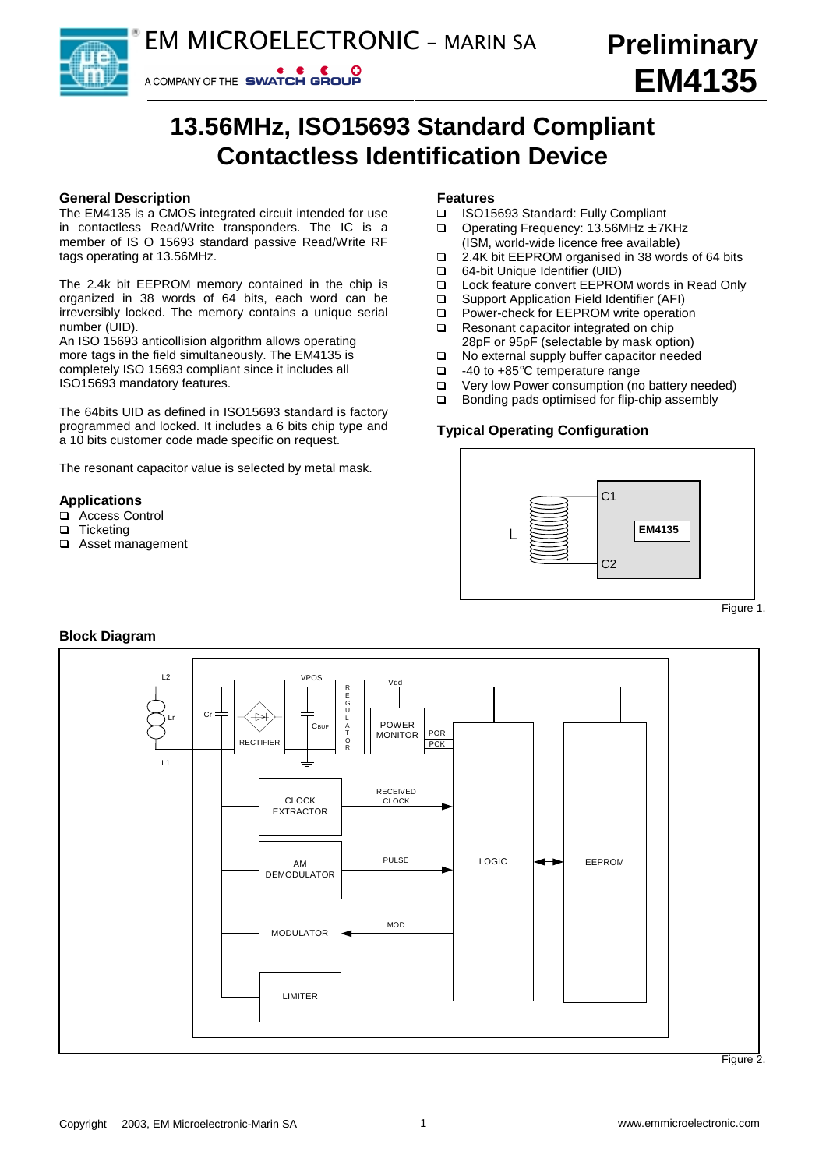# **13.56MHz, ISO15693 Standard Compliant Contactless Identification Device**

# **General Description**

The EM4135 is a CMOS integrated circuit intended for use in contactless Read/Write transponders. The IC is a member of IS O 15693 standard passive Read/Write RF tags operating at 13.56MHz.

A COMPANY OF THE SWATCH GROUP

The 2.4k bit EEPROM memory contained in the chip is organized in 38 words of 64 bits, each word can be irreversibly locked. The memory contains a unique serial number (UID).

An ISO 15693 anticollision algorithm allows operating more tags in the field simultaneously. The EM4135 is completely ISO 15693 compliant since it includes all ISO15693 mandatory features.

The 64bits UID as defined in ISO15693 standard is factory programmed and locked. It includes a 6 bits chip type and a 10 bits customer code made specific on request.

The resonant capacitor value is selected by metal mask.

# **Applications**

- □ Access Control
- □ Ticketing<br>□ Asset ma
- Asset management

# **Features**

- □ ISO15693 Standard: Fully Compliant
- $\Box$  Operating Frequency: 13.56MHz  $\pm$  7KHz (ISM, world-wide licence free available)
- □ 2.4K bit EEPROM organised in 38 words of 64 bits
- □ 64-bit Unique Identifier (UID)
- □ Lock feature convert EEPROM words in Read Only
- □ Support Application Field Identifier (AFI)<br>□ Power-check for FEPROM write operation
- Power-check for EEPROM write operation
- $\Box$  Resonant capacitor integrated on chip
- 28pF or 95pF (selectable by mask option)<br>□ No external supply buffer capacitor neede No external supply buffer capacitor needed
- 
- $\Box$  -40 to +85°C temperature range<br> $\Box$  Very low Power consumption (no Very low Power consumption (no battery needed)
- □ Bonding pads optimised for flip-chip assembly

# **Typical Operating Configuration**



# **Block Diagram**



Figure 2.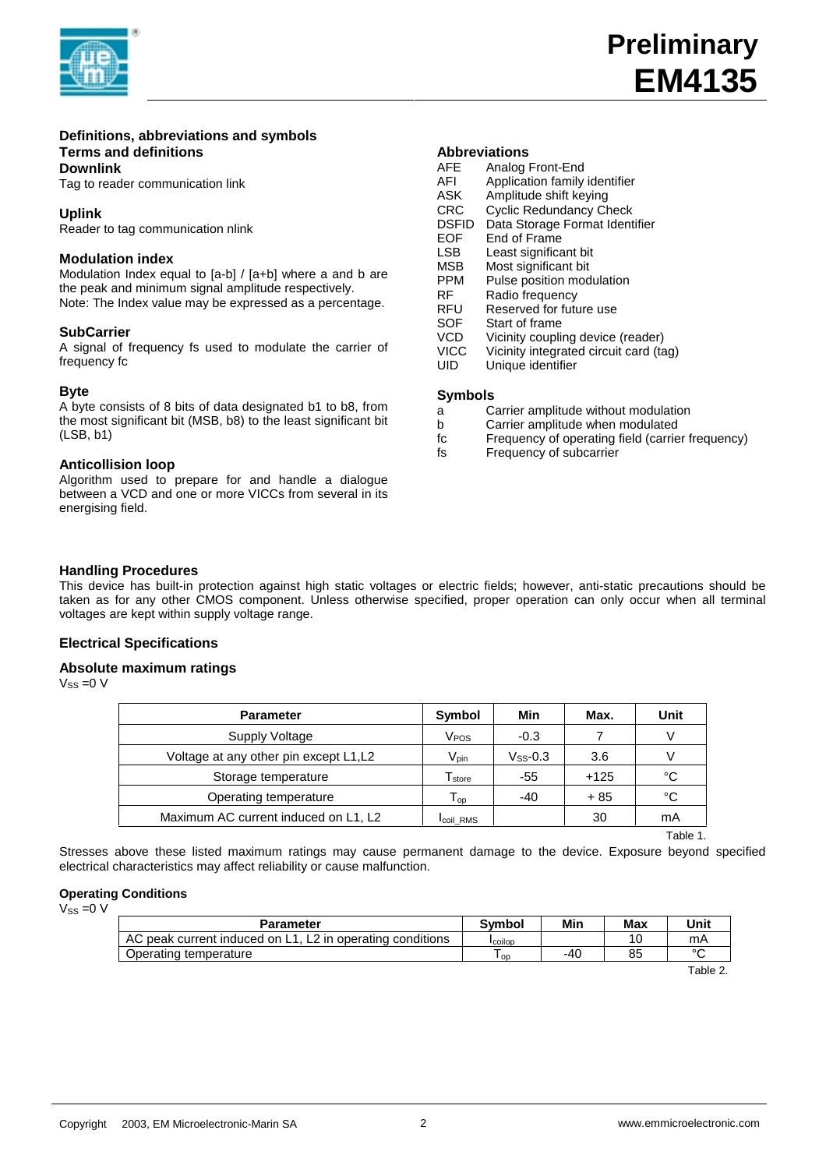

## **Definitions, abbreviations and symbols Terms and definitions Downlink**

Tag to reader communication link

**Uplink**

Reader to tag communication nlink

# **Modulation index**

Modulation Index equal to [a-b] / [a+b] where a and b are the peak and minimum signal amplitude respectively. Note: The Index value may be expressed as a percentage.

# **SubCarrier**

A signal of frequency fs used to modulate the carrier of frequency fc

# **Byte**

A byte consists of 8 bits of data designated b1 to b8, from the most significant bit (MSB, b8) to the least significant bit (LSB, b1)

# **Anticollision loop**

Algorithm used to prepare for and handle a dialogue between a VCD and one or more VICCs from several in its energising field.

# **Abbreviations**

|              | ADDI GYRICIO I 13              |
|--------------|--------------------------------|
| <b>AFE</b>   | Analog Front-End               |
| AFI          | Application family identifier  |
| ASK          | Amplitude shift keying         |
| <b>CRC</b>   | <b>Cyclic Redundancy Check</b> |
| <b>DSFID</b> | Data Storage Format Identifier |
| EOF          | End of Frame                   |
| <b>LSB</b>   | Least significant bit          |
| MSB          | Most significant bit           |

- PPM Pulse position modulation
- RF Radio frequency<br>RFU Reserved for futu
- Reserved for future use
- 
- SOF Start of frame<br>VCD Vicinity coupli VCD Vicinity coupling device (reader)<br>VICC Vicinity integrated circuit card (ta
- Vicinity integrated circuit card (tag)
- UID Unique identifier

## **Symbols**

- a Carrier amplitude without modulation
- b Carrier amplitude when modulated
- fc Frequency of operating field (carrier frequency)
- Frequency of subcarrier

# **Handling Procedures**

This device has built-in protection against high static voltages or electric fields; however, anti-static precautions should be taken as for any other CMOS component. Unless otherwise specified, proper operation can only occur when all terminal voltages are kept within supply voltage range.

# **Electrical Specifications**

# **Absolute maximum ratings**

 $V_{SS} = 0 V$ 

| <b>Parameter</b>                      | Symbol           | Min           | Max.   | Unit |
|---------------------------------------|------------------|---------------|--------|------|
| Supply Voltage                        | V <sub>POS</sub> | $-0.3$        |        | V    |
| Voltage at any other pin except L1,L2 | Vpin             | $V_{SS}$ -0.3 | 3.6    | V    |
| Storage temperature                   | I store          | -55           | $+125$ | °C   |
| Operating temperature                 | $T_{op}$         | $-40$         | $+85$  | °C   |
| Maximum AC current induced on L1, L2  | <b>Icoil RMS</b> |               | 30     | mA   |

Table 1. The state of the state of the state of the state of the state of the state of the state of the state o

Stresses above these listed maximum ratings may cause permanent damage to the device. Exposure beyond specified electrical characteristics may affect reliability or cause malfunction.

## **Operating Conditions**

 $V_{ss} = 0 V$ 

| Parameter                                                 | <b>Symbol</b>   | Min | Max | Unit    |
|-----------------------------------------------------------|-----------------|-----|-----|---------|
| AC peak current induced on L1, L2 in operating conditions | <b>I</b> coilop |     |     | mA      |
| Operating temperature                                     | ≀ on            | -40 | 85  | $\circ$ |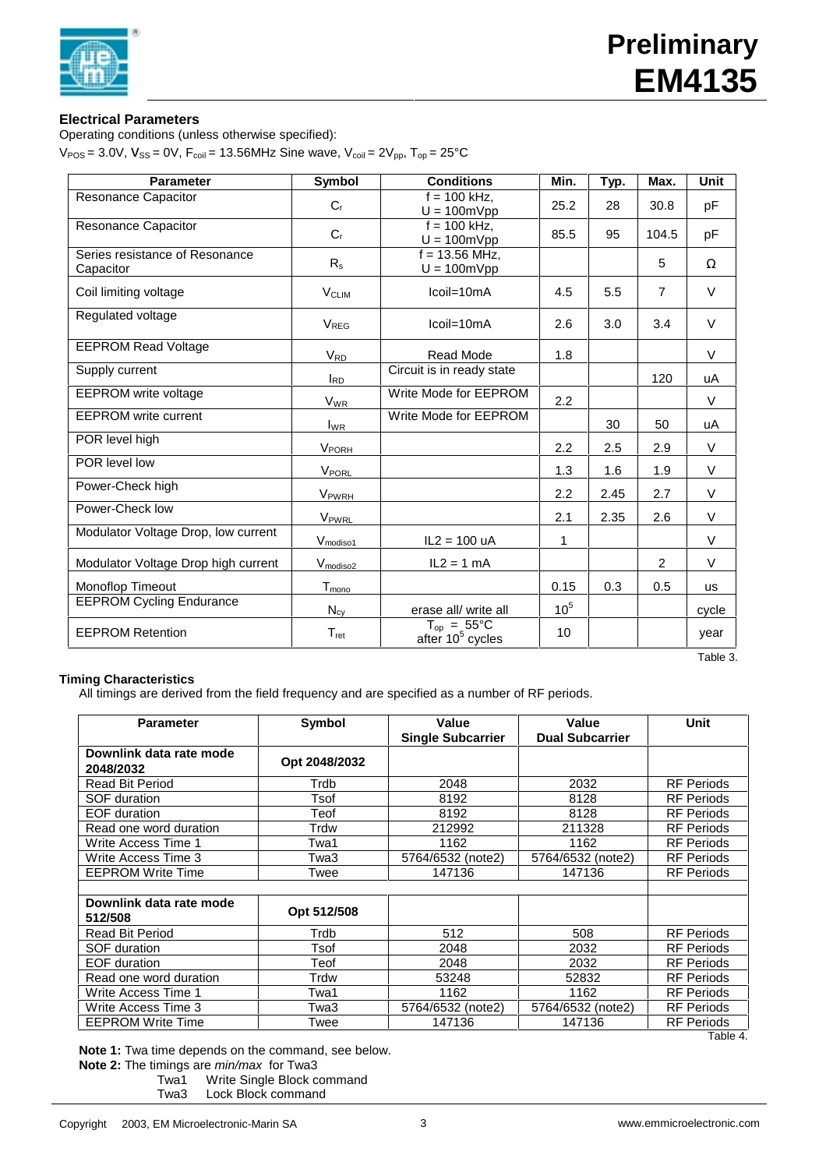

# **Electrical Parameters**

Operating conditions (unless otherwise specified):

 $V_{\text{POS}} = 3.0V$ ,  $V_{\text{SS}} = 0V$ ,  $F_{\text{coil}} = 13.56 MHz$  Sine wave,  $V_{\text{coil}} = 2V_{\text{pp}}$ ,  $T_{\text{op}} = 25^{\circ}\text{C}$ 

| <b>Parameter</b>                            | Symbol                      | <b>Conditions</b>                                      | Min.            | Typ. | Max.           | <b>Unit</b> |
|---------------------------------------------|-----------------------------|--------------------------------------------------------|-----------------|------|----------------|-------------|
| Resonance Capacitor                         | $C_{r}$                     | $f = 100$ kHz.<br>$U = 100 \text{mVpp}$                | 25.2            | 28   | 30.8           | pF          |
| Resonance Capacitor                         | $C_{r}$                     | $f = 100$ kHz.<br>$U = 100mVpp$                        | 85.5            | 95   | 104.5          | pF          |
| Series resistance of Resonance<br>Capacitor | $R_{s}$                     | $f = 13.56$ MHz.<br>$U = 100 \text{mVpp}$              |                 |      | 5              | $\Omega$    |
| Coil limiting voltage                       | <b>V<sub>CLIM</sub></b>     | $ coil=10mA$                                           | 4.5             | 5.5  | $\overline{7}$ | $\vee$      |
| Regulated voltage                           | V <sub>REG</sub>            | $ coil=10mA$                                           | 2.6             | 3.0  | 3.4            | $\vee$      |
| <b>EEPROM Read Voltage</b>                  | V <sub>RD</sub>             | Read Mode                                              | 1.8             |      |                | $\vee$      |
| Supply current                              | $I_{RD}$                    | Circuit is in ready state                              |                 |      | 120            | uA          |
| <b>EEPROM</b> write voltage                 | <b>V<sub>WR</sub></b>       | Write Mode for EEPROM                                  | 2.2             |      |                | $\vee$      |
| <b>EEPROM</b> write current                 | $I_{WR}$                    | Write Mode for EEPROM                                  |                 | 30   | 50             | uA          |
| POR level high                              | VPORH                       |                                                        | 2.2             | 2.5  | 2.9            | $\vee$      |
| POR level low                               | <b>VPORL</b>                |                                                        | 1.3             | 1.6  | 1.9            | $\vee$      |
| Power-Check high                            | <b>V</b> <sub>PWRH</sub>    |                                                        | 2.2             | 2.45 | 2.7            | $\vee$      |
| Power-Check low                             | VPWRL                       |                                                        | 2.1             | 2.35 | 2.6            | $\vee$      |
| Modulator Voltage Drop, low current         | V <sub>modiso1</sub>        | $IL2 = 100 uA$                                         | $\mathbf{1}$    |      |                | $\vee$      |
| Modulator Voltage Drop high current         | $V_{\text{modiso2}}$        | $IL2 = 1 mA$                                           |                 |      | 2              | $\vee$      |
| Monoflop Timeout                            | T <sub>mono</sub>           |                                                        | 0.15            | 0.3  | 0.5            | us          |
| <b>EEPROM Cycling Endurance</b>             | $N_{cy}$                    | erase all/ write all                                   | 10 <sup>5</sup> |      |                | cycle       |
| <b>EEPROM Retention</b>                     | $\mathsf{T}_{\mathsf{ret}}$ | $T_{op} = 55^{\circ}C$<br>after 10 <sup>5</sup> cycles | 10              |      |                | year        |

# **Timing Characteristics**

All timings are derived from the field frequency and are specified as a number of RF periods.

| <b>Parameter</b>                     | Symbol        | Value<br><b>Single Subcarrier</b> | Value<br><b>Dual Subcarrier</b> | Unit              |
|--------------------------------------|---------------|-----------------------------------|---------------------------------|-------------------|
| Downlink data rate mode<br>2048/2032 | Opt 2048/2032 |                                   |                                 |                   |
| <b>Read Bit Period</b>               | Trdb          | 2048                              | 2032                            | <b>RF Periods</b> |
| SOF duration                         | Tsof          | 8192                              | 8128                            | <b>RF Periods</b> |
| <b>EOF</b> duration                  | Teof          | 8192                              | 8128                            | <b>RF</b> Periods |
| Read one word duration               | Trdw          | 212992                            | 211328                          | <b>RF</b> Periods |
| Write Access Time 1                  | Twa1          | 1162                              | 1162                            | <b>RF Periods</b> |
| Write Access Time 3                  | Twa3          | 5764/6532 (note2)                 | 5764/6532 (note2)               | <b>RF Periods</b> |
| <b>EEPROM Write Time</b>             | Twee          | 147136                            | 147136                          | <b>RF Periods</b> |
|                                      |               |                                   |                                 |                   |
| Downlink data rate mode<br>512/508   | Opt 512/508   |                                   |                                 |                   |
| <b>Read Bit Period</b>               | Trdb          | 512                               | 508                             | <b>RF Periods</b> |
| <b>SOF duration</b>                  | Tsof          | 2048                              | 2032                            | <b>RF Periods</b> |
| <b>EOF</b> duration                  | Teof          | 2048                              | 2032                            | <b>RF Periods</b> |
| Read one word duration               | Trdw          | 53248                             | 52832                           | <b>RF Periods</b> |
| Write Access Time 1                  | Twa1          | 1162                              | 1162                            | <b>RF Periods</b> |
| Write Access Time 3                  | Twa3          | 5764/6532 (note2)                 | 5764/6532 (note2)               | <b>RF Periods</b> |
| <b>EEPROM Write Time</b>             | Twee          | 147136                            | 147136                          | <b>RF Periods</b> |
|                                      |               |                                   |                                 | Table 4.          |

**Note 1:** Twa time depends on the command, see below.

**Note 2:** The timings are min/max for Twa3

Twa1 Write Single Block command

Twa3 Lock Block command

Table 3.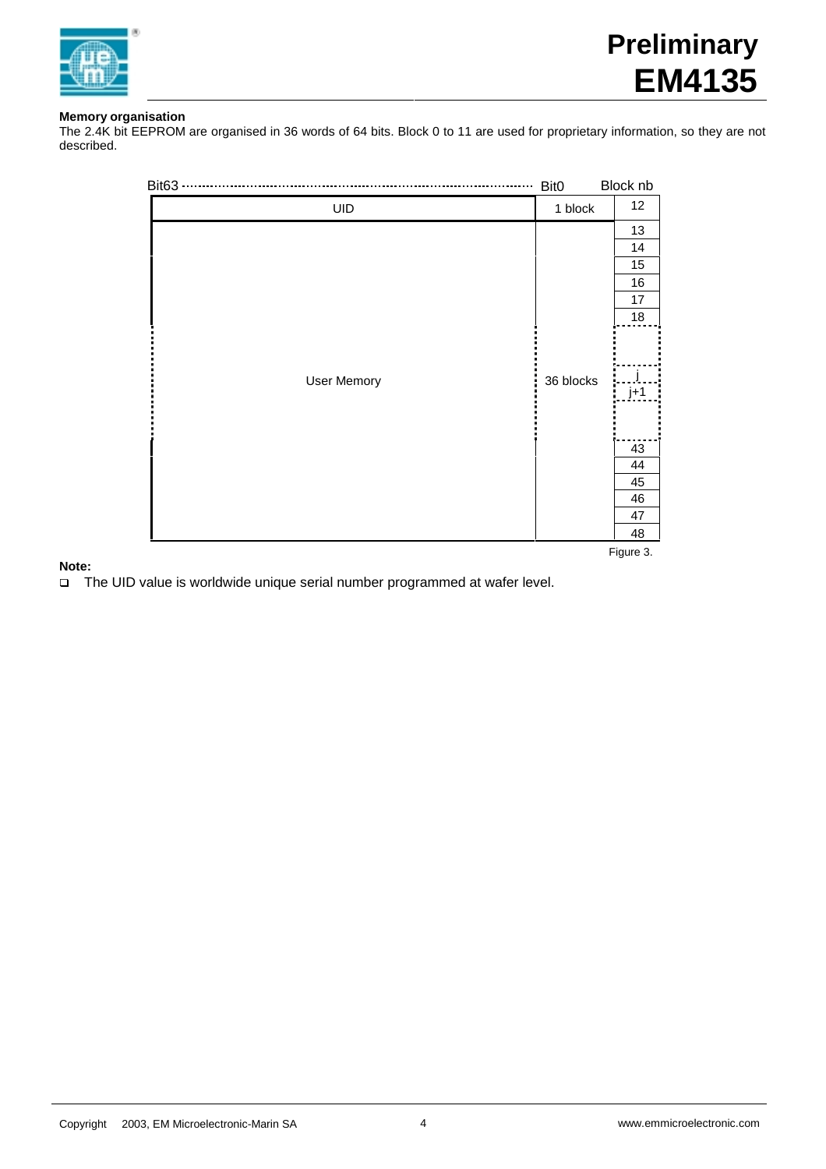

# **Memory organisation**

The 2.4K bit EEPROM are organised in 36 words of 64 bits. Block 0 to 11 are used for proprietary information, so they are not described.

| Bit63 ·            | Bit0      | Block nb |
|--------------------|-----------|----------|
| UID                | 1 block   | 12       |
|                    |           | 13       |
|                    |           | 14       |
|                    |           | 15       |
|                    |           | $16\,$   |
|                    |           | $17\,$   |
|                    |           | $18\,$   |
|                    |           |          |
| <b>User Memory</b> | 36 blocks |          |
|                    |           | $j+1$    |
|                    |           |          |
|                    |           | 43       |
|                    |           | 44       |
|                    |           | 45       |
|                    |           | 46       |
|                    |           | 47       |
|                    |           | 48       |

Figure 3.

# **Note:**

q The UID value is worldwide unique serial number programmed at wafer level.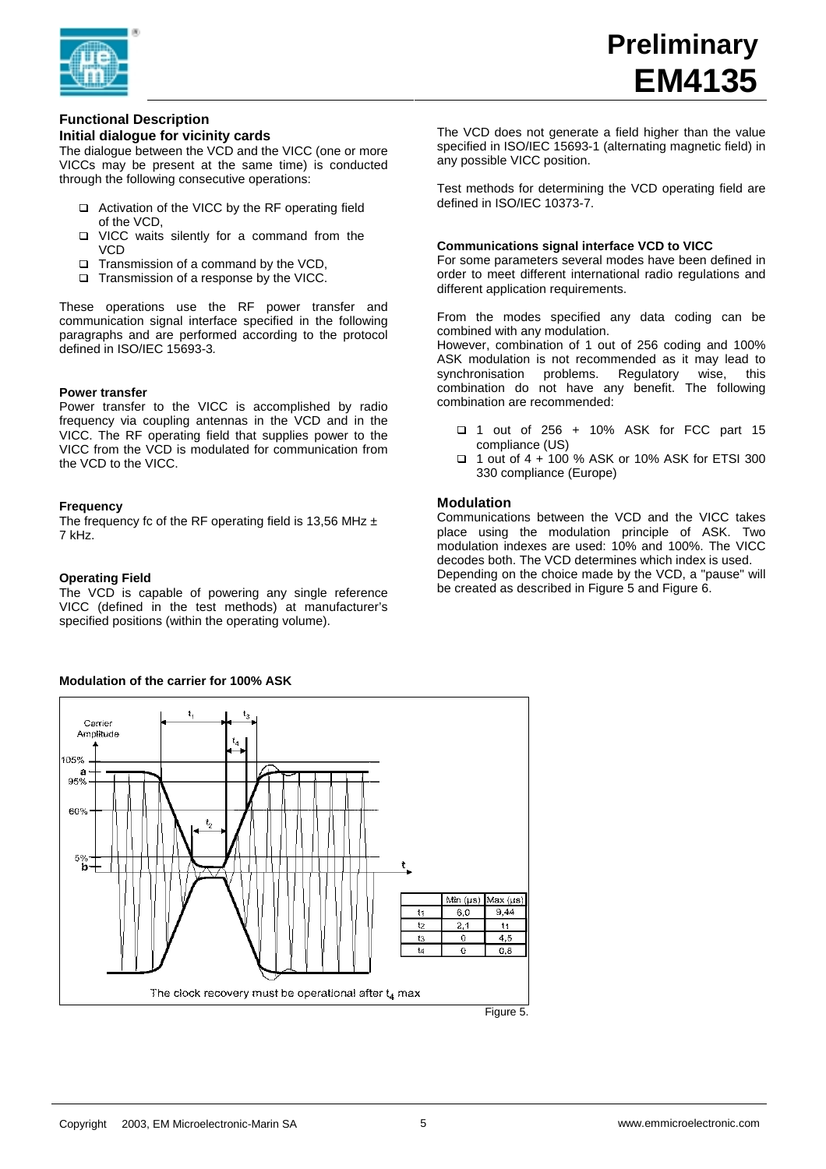

# **Functional Description**

# **Initial dialogue for vicinity cards**

The dialogue between the VCD and the VICC (one or more VICCs may be present at the same time) is conducted through the following consecutive operations:

- □ Activation of the VICC by the RF operating field of the VCD,
- q VICC waits silently for a command from the VCD
- □ Transmission of a command by the VCD,
- □ Transmission of a response by the VICC.

These operations use the RF power transfer and communication signal interface specified in the following paragraphs and are performed according to the protocol defined in ISO/IEC 15693-3.

## **Power transfer**

Power transfer to the VICC is accomplished by radio frequency via coupling antennas in the VCD and in the VICC. The RF operating field that supplies power to the VICC from the VCD is modulated for communication from the VCD to the VICC.

## **Frequency**

The frequency fc of the RF operating field is 13,56 MHz  $\pm$ 7 kHz.

## **Operating Field**

The VCD is capable of powering any single reference VICC (defined in the test methods) at manufacturer's specified positions (within the operating volume).

# The VCD does not generate a field higher than the value specified in ISO/IEC 15693-1 (alternating magnetic field) in any possible VICC position.

Test methods for determining the VCD operating field are defined in ISO/IEC 10373-7.

## **Communications signal interface VCD to VICC**

For some parameters several modes have been defined in order to meet different international radio regulations and different application requirements.

From the modes specified any data coding can be combined with any modulation.

However, combination of 1 out of 256 coding and 100% ASK modulation is not recommended as it may lead to synchronisation problems. Regulatory wise, this combination do not have any benefit. The following combination are recommended:

- q 1 out of 256 + 10% ASK for FCC part 15 compliance (US)
- q 1 out of 4 + 100 % ASK or 10% ASK for ETSI 300 330 compliance (Europe)

## **Modulation**

Communications between the VCD and the VICC takes place using the modulation principle of ASK. Two modulation indexes are used: 10% and 100%. The VICC decodes both. The VCD determines which index is used. Depending on the choice made by the VCD, a "pause" will be created as described in Figure 5 and Figure 6.



# **Modulation of the carrier for 100% ASK**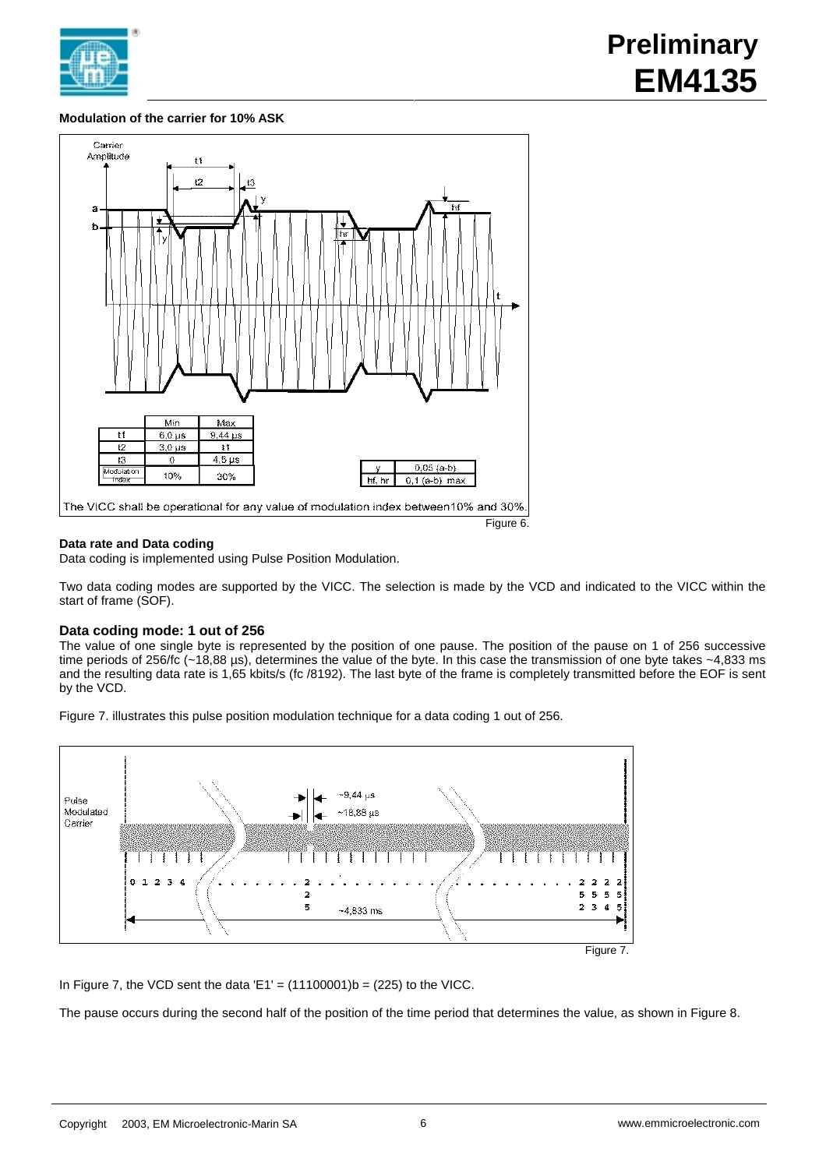

# **Modulation of the carrier for 10% ASK**



# **Data rate and Data coding**

Data coding is implemented using Pulse Position Modulation.

Two data coding modes are supported by the VICC. The selection is made by the VCD and indicated to the VICC within the start of frame (SOF).

# **Data coding mode: 1 out of 256**

The value of one single byte is represented by the position of one pause. The position of the pause on 1 of 256 successive time periods of 256/fc (~18,88 µs), determines the value of the byte. In this case the transmission of one byte takes ~4,833 ms and the resulting data rate is 1,65 kbits/s (fc /8192). The last byte of the frame is completely transmitted before the EOF is sent by the VCD.

Figure 7. illustrates this pulse position modulation technique for a data coding 1 out of 256.



In Figure 7, the VCD sent the data  $'E1' = (11100001)b = (225)$  to the VICC.

The pause occurs during the second half of the position of the time period that determines the value, as shown in Figure 8.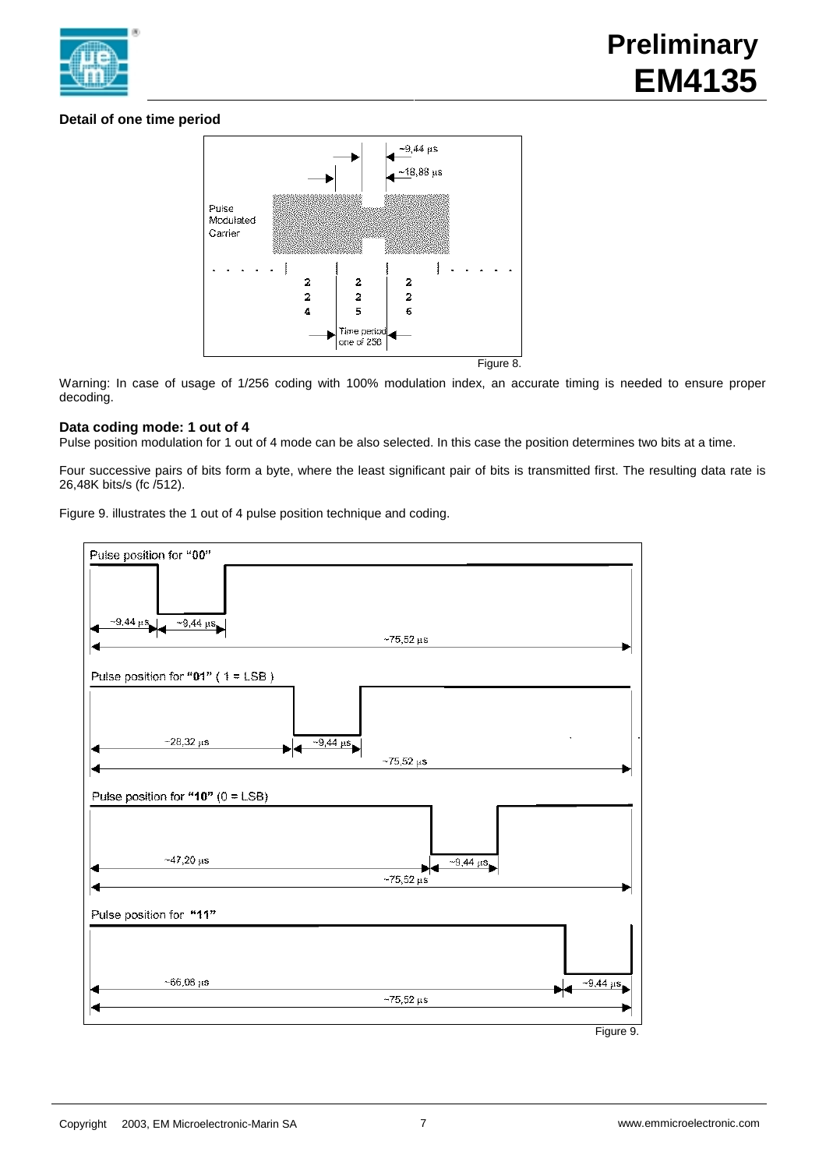

# **Detail of one time period**



Warning: In case of usage of 1/256 coding with 100% modulation index, an accurate timing is needed to ensure proper decoding.

# **Data coding mode: 1 out of 4**

Pulse position modulation for 1 out of 4 mode can be also selected. In this case the position determines two bits at a time.

Four successive pairs of bits form a byte, where the least significant pair of bits is transmitted first. The resulting data rate is 26,48K bits/s (fc /512).

Figure 9. illustrates the 1 out of 4 pulse position technique and coding.

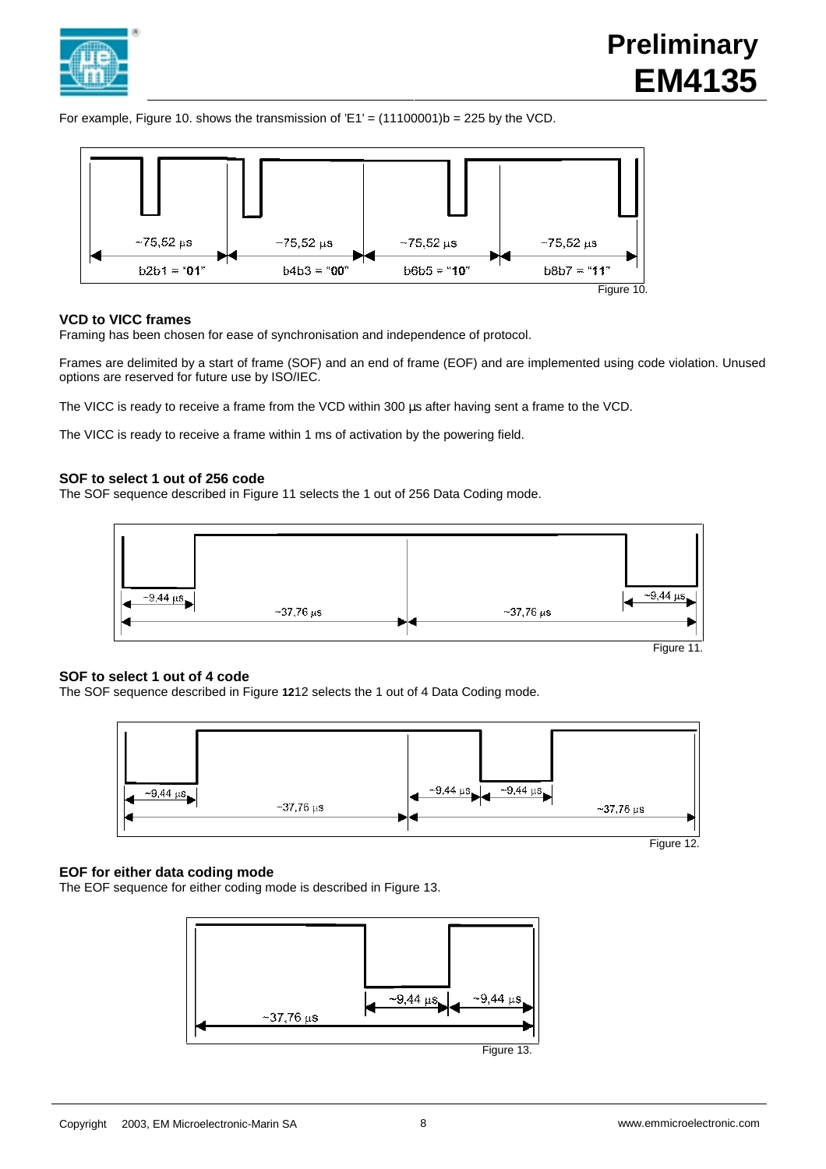

# **Preliminary EM4135**

For example, Figure 10. shows the transmission of  $E1' = (11100001)b = 225$  by the VCD.



# **VCD to VICC frames**

Framing has been chosen for ease of synchronisation and independence of protocol.

Frames are delimited by a start of frame (SOF) and an end of frame (EOF) and are implemented using code violation. Unused options are reserved for future use by ISO/IEC.

The VICC is ready to receive a frame from the VCD within 300 us after having sent a frame to the VCD.

The VICC is ready to receive a frame within 1 ms of activation by the powering field.

# **SOF to select 1 out of 256 code**

The SOF sequence described in Figure 11 selects the 1 out of 256 Data Coding mode.



## **SOF to select 1 out of 4 code**

The SOF sequence described in Figure **12**12 selects the 1 out of 4 Data Coding mode.



# **EOF for either data coding mode**

The EOF sequence for either coding mode is described in Figure 13.

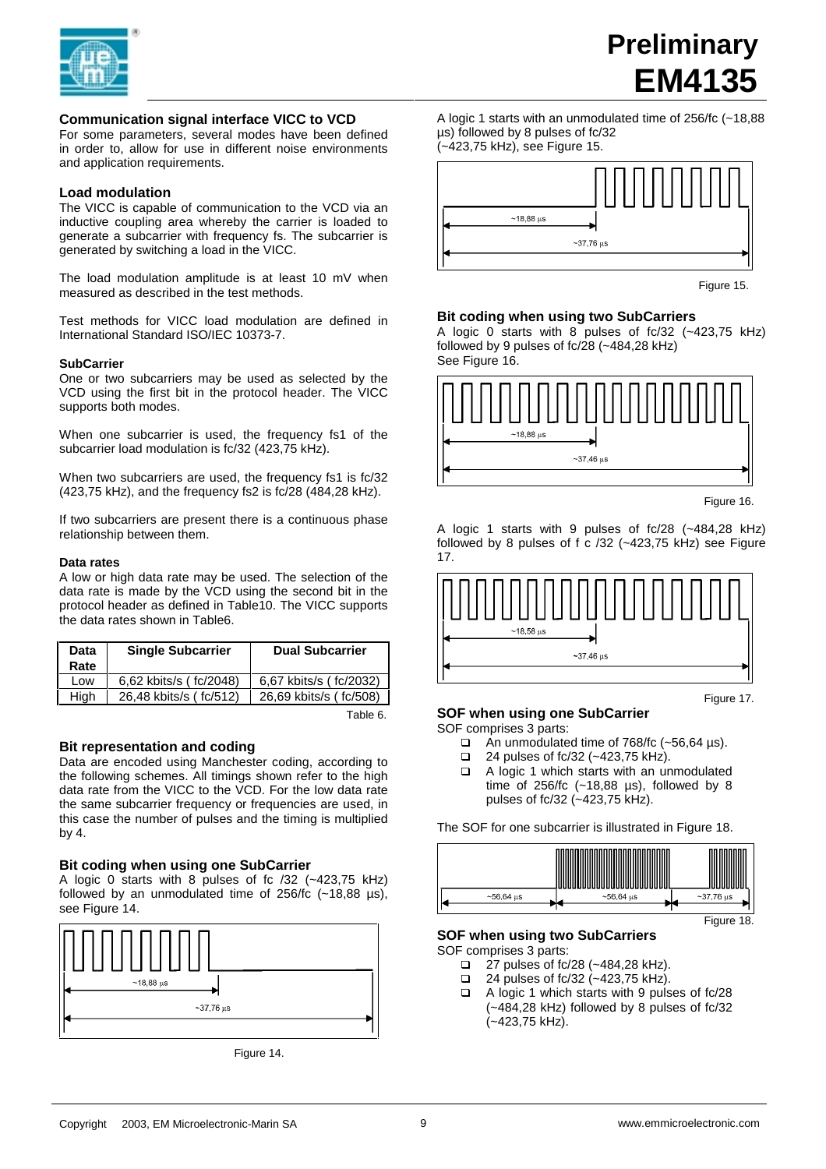

# **Communication signal interface VICC to VCD**

For some parameters, several modes have been defined in order to, allow for use in different noise environments and application requirements.

## **Load modulation**

The VICC is capable of communication to the VCD via an inductive coupling area whereby the carrier is loaded to generate a subcarrier with frequency fs. The subcarrier is generated by switching a load in the VICC.

The load modulation amplitude is at least 10 mV when measured as described in the test methods.

Test methods for VICC load modulation are defined in International Standard ISO/IEC 10373-7.

## **SubCarrier**

One or two subcarriers may be used as selected by the VCD using the first bit in the protocol header. The VICC supports both modes.

When one subcarrier is used, the frequency fs1 of the subcarrier load modulation is fc/32 (423,75 kHz).

When two subcarriers are used, the frequency fs1 is fc/32 (423,75 kHz), and the frequency fs2 is fc/28 (484,28 kHz).

If two subcarriers are present there is a continuous phase relationship between them.

#### **Data rates**

A low or high data rate may be used. The selection of the data rate is made by the VCD using the second bit in the protocol header as defined in Table10. The VICC supports the data rates shown in Table6.

| Data<br>Rate | <b>Single Subcarrier</b> | <b>Dual Subcarrier</b> |
|--------------|--------------------------|------------------------|
| Low          | 6,62 kbits/s (fc/2048)   | 6,67 kbits/s (fc/2032) |
| High         | 26,48 kbits/s (fc/512)   | 26,69 kbits/s (fc/508) |

Table 6.

## **Bit representation and coding**

Data are encoded using Manchester coding, according to the following schemes. All timings shown refer to the high data rate from the VICC to the VCD. For the low data rate the same subcarrier frequency or frequencies are used, in this case the number of pulses and the timing is multiplied by 4.

## **Bit coding when using one SubCarrier**

A logic 0 starts with 8 pulses of fc /32 (~423,75 kHz) followed by an unmodulated time of  $256/fc$  (~18,88 µs), see Figure 14.



Figure 14.

A logic 1 starts with an unmodulated time of 256/fc (~18,88 µs) followed by 8 pulses of fc/32 (~423,75 kHz), see Figure 15.



Figure 15.

**Preliminary**

**EM4135**

#### **Bit coding when using two SubCarriers**

A logic 0 starts with 8 pulses of fc/32 (~423,75 kHz) followed by 9 pulses of fc/28 (~484,28 kHz) See Figure 16.



Figure 16.

A logic 1 starts with 9 pulses of fc/28 (~484,28 kHz) followed by 8 pulses of  $f$  c /32 (~423,75 kHz) see Figure 17.



Figure 17.

## **SOF when using one SubCarrier**

SOF comprises 3 parts:

- □ An unmodulated time of 768/fc (~56,64 µs).<br>□ 24 pulses of fc/32 (~423.75 kHz).
- 24 pulses of fc/32 (~423,75 kHz).
- □ A logic 1 which starts with an unmodulated time of 256/fc (~18,88 µs), followed by 8 pulses of fc/32 (~423,75 kHz).

The SOF for one subcarrier is illustrated in Figure 18.



**SOF when using two SubCarriers**

SOF comprises 3 parts:

- $\Box$  27 pulses of fc/28 (~484,28 kHz).
- $\Box$  24 pulses of fc/32 (~423,75 kHz).
- $\Box$  A logic 1 which starts with 9 pulses of fc/28 (~484,28 kHz) followed by 8 pulses of fc/32 (~423,75 kHz).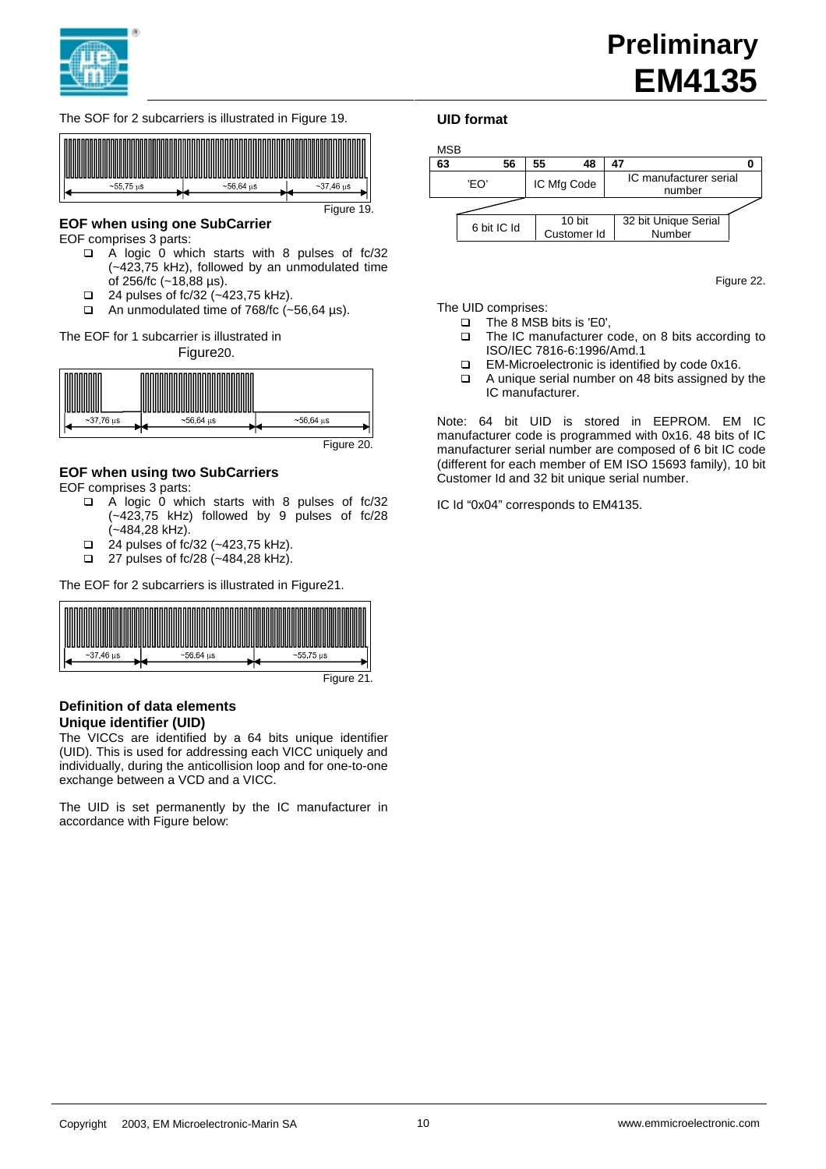





# **EOF when using one SubCarrier**

EOF comprises 3 parts:

- $\Box$  A logic 0 which starts with 8 pulses of fc/32 (~423,75 kHz), followed by an unmodulated time of 256/fc (~18,88 µs).
- $\Box$  24 pulses of fc/32 (~423,75 kHz).
- $\Box$  An unmodulated time of 768/fc (~56,64 µs).

The EOF for 1 subcarrier is illustrated in

Figure20.



Figure 20.

# **EOF when using two SubCarriers**

EOF comprises 3 parts:

- $\Box$  A logic 0 which starts with 8 pulses of fc/32 (~423,75 kHz) followed by 9 pulses of fc/28 (~484,28 kHz).
- $\Box$  24 pulses of fc/32 (~423,75 kHz).
- $\Box$  27 pulses of fc/28 (~484,28 kHz).

The EOF for 2 subcarriers is illustrated in Figure21.



## **Definition of data elements Unique identifier (UID)**

The VICCs are identified by a 64 bits unique identifier (UID). This is used for addressing each VICC uniquely and individually, during the anticollision loop and for one-to-one exchange between a VCD and a VICC.

The UID is set permanently by the IC manufacturer in accordance with Figure below:

## **UID format**



Figure 22.

The UID comprises:

- $\Box$  The 8 MSB bits is 'E0',<br> $\Box$  The IC manufacturer of
- The IC manufacturer code, on 8 bits according to ISO/IEC 7816-6:1996/Amd.1
- □ EM-Microelectronic is identified by code 0x16.
- $\Box$  A unique serial number on 48 bits assigned by the IC manufacturer.

Note: 64 bit UID is stored in EEPROM. EM IC manufacturer code is programmed with 0x16. 48 bits of IC manufacturer serial number are composed of 6 bit IC code (different for each member of EM ISO 15693 family), 10 bit Customer Id and 32 bit unique serial number.

IC Id "0x04" corresponds to EM4135.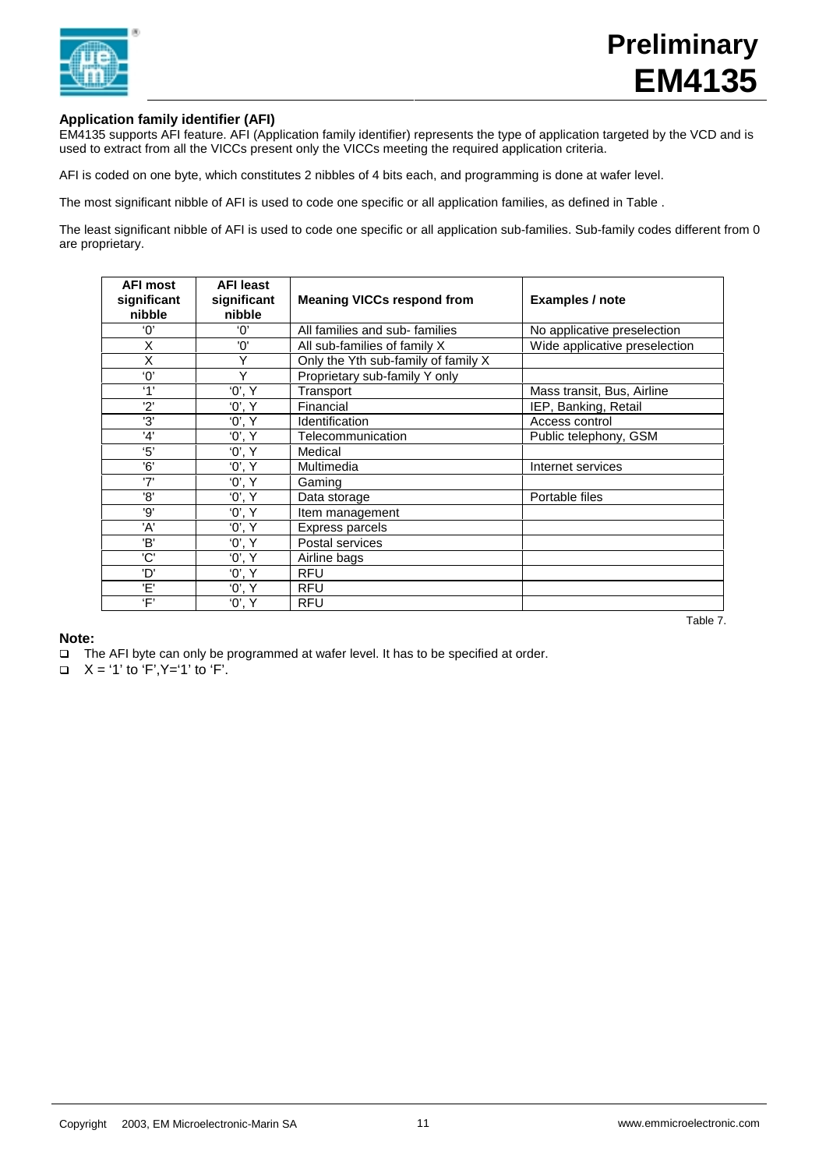

# **Application family identifier (AFI)**

EM4135 supports AFI feature. AFI (Application family identifier) represents the type of application targeted by the VCD and is used to extract from all the VICCs present only the VICCs meeting the required application criteria.

AFI is coded on one byte, which constitutes 2 nibbles of 4 bits each, and programming is done at wafer level.

The most significant nibble of AFI is used to code one specific or all application families, as defined in Table .

The least significant nibble of AFI is used to code one specific or all application sub-families. Sub-family codes different from 0 are proprietary.

| <b>AFI most</b><br>significant<br>nibble | <b>AFI least</b><br>significant<br>nibble | <b>Meaning VICCs respond from</b>   | <b>Examples / note</b>        |
|------------------------------------------|-------------------------------------------|-------------------------------------|-------------------------------|
| $^{\prime}$ $\Omega$                     | 'ቦ'                                       | All families and sub-families       | No applicative preselection   |
| X                                        | 'ח'                                       | All sub-families of family X        | Wide applicative preselection |
| Χ                                        | Υ                                         | Only the Yth sub-family of family X |                               |
| '0'                                      | Y                                         | Proprietary sub-family Y only       |                               |
| '1'                                      | '0', Y                                    | Transport                           | Mass transit, Bus, Airline    |
| 2'                                       | '0', Y                                    | Financial                           | IEP, Banking, Retail          |
| '3'                                      | '0', Y                                    | Identification                      | Access control                |
| '4'                                      | '0', Y                                    | Telecommunication                   | Public telephony, GSM         |
| '5'                                      | '0', Y                                    | Medical                             |                               |
| '6'                                      | '0', Y                                    | Multimedia                          | Internet services             |
| '7'                                      | '0', Y                                    | Gaming                              |                               |
| '8'                                      | '0', Y                                    | Data storage                        | Portable files                |
| '9'                                      | '0', Y                                    | Item management                     |                               |
| 'A'                                      | '0', Y                                    | <b>Express parcels</b>              |                               |
| 'B'                                      | '0', Y                                    | Postal services                     |                               |
| 'C'                                      | '0', Y                                    | Airline bags                        |                               |
| 'D'                                      | '0', Y                                    | <b>RFU</b>                          |                               |
| 'E'                                      | '0', Y                                    | <b>RFU</b>                          |                               |
| 'F'                                      | '0', Y                                    | RFU                                 |                               |

Table 7.

# **Note:**

- □ The AFI byte can only be programmed at wafer level. It has to be specified at order.
- $X = '1'$  to 'F',  $Y = '1'$  to 'F'.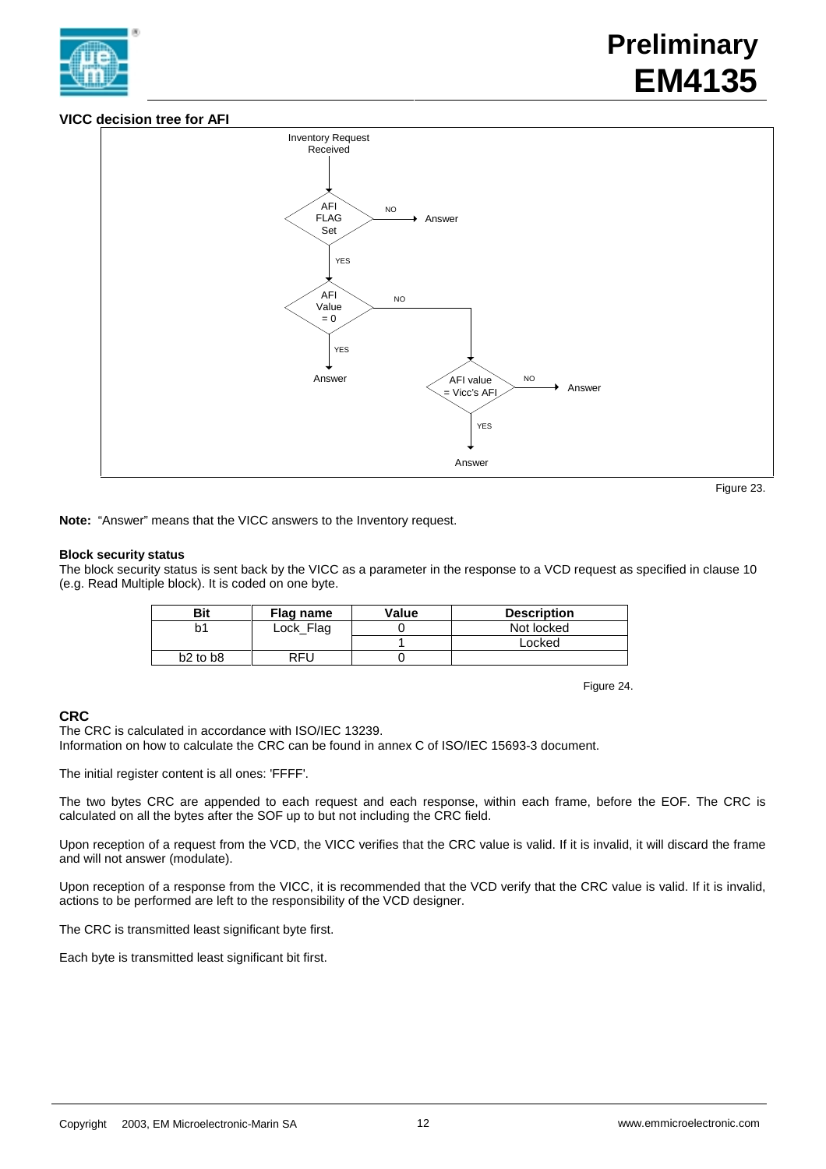

# **VICC decision tree for AFI**



```
 Figure 23.
```
**Note:** "Answer" means that the VICC answers to the Inventory request.

## **Block security status**

The block security status is sent back by the VICC as a parameter in the response to a VCD request as specified in clause 10 (e.g. Read Multiple block). It is coded on one byte.

| <b>Bit</b>   | Flag name | Value | <b>Description</b> |
|--------------|-----------|-------|--------------------|
| b1           | Lock Flag |       | Not locked         |
|              |           |       | Locked             |
| $b2$ to $b8$ | RFU       |       |                    |

Figure 24.

# **CRC**

The CRC is calculated in accordance with ISO/IEC 13239. Information on how to calculate the CRC can be found in annex C of ISO/IEC 15693-3 document.

The initial register content is all ones: 'FFFF'.

The two bytes CRC are appended to each request and each response, within each frame, before the EOF. The CRC is calculated on all the bytes after the SOF up to but not including the CRC field.

Upon reception of a request from the VCD, the VICC verifies that the CRC value is valid. If it is invalid, it will discard the frame and will not answer (modulate).

Upon reception of a response from the VICC, it is recommended that the VCD verify that the CRC value is valid. If it is invalid, actions to be performed are left to the responsibility of the VCD designer.

The CRC is transmitted least significant byte first.

Each byte is transmitted least significant bit first.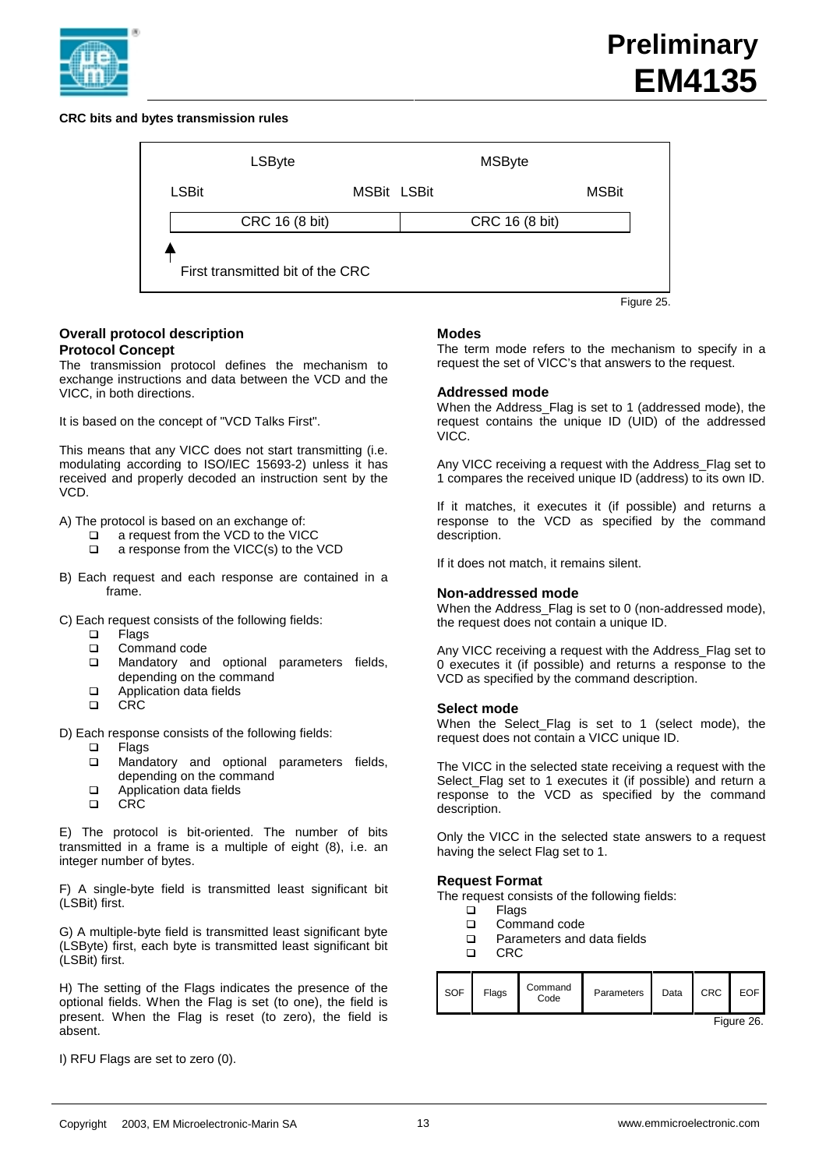

# **CRC bits and bytes transmission rules**



## **Overall protocol description Protocol Concept**

The transmission protocol defines the mechanism to exchange instructions and data between the VCD and the VICC, in both directions.

It is based on the concept of "VCD Talks First".

This means that any VICC does not start transmitting (i.e. modulating according to ISO/IEC 15693-2) unless it has received and properly decoded an instruction sent by the VCD.

A) The protocol is based on an exchange of:

- a request from the VCD to the VICC
- $\Box$  a response from the VICC(s) to the VCD
- B) Each request and each response are contained in a frame.

C) Each request consists of the following fields:

- q Flags
- **Q** Command code
- **Q** Mandatory and optional parameters fields, depending on the command
- Application data fields
- q CRC

D) Each response consists of the following fields:

- q Flags
- **Q** Mandatory and optional parameters fields, depending on the command
- Application data fields
- q CRC

E) The protocol is bit-oriented. The number of bits transmitted in a frame is a multiple of eight (8), i.e. an integer number of bytes.

F) A single-byte field is transmitted least significant bit (LSBit) first.

G) A multiple-byte field is transmitted least significant byte (LSByte) first, each byte is transmitted least significant bit (LSBit) first.

H) The setting of the Flags indicates the presence of the optional fields. When the Flag is set (to one), the field is present. When the Flag is reset (to zero), the field is absent.

I) RFU Flags are set to zero (0).

## **Modes**

The term mode refers to the mechanism to specify in a request the set of VICC's that answers to the request.

## **Addressed mode**

When the Address\_Flag is set to 1 (addressed mode), the request contains the unique ID (UID) of the addressed VICC.

Any VICC receiving a request with the Address\_Flag set to 1 compares the received unique ID (address) to its own ID.

If it matches, it executes it (if possible) and returns a response to the VCD as specified by the command description.

If it does not match, it remains silent.

## **Non-addressed mode**

When the Address\_Flag is set to 0 (non-addressed mode), the request does not contain a unique ID.

Any VICC receiving a request with the Address\_Flag set to 0 executes it (if possible) and returns a response to the VCD as specified by the command description.

## **Select mode**

When the Select\_Flag is set to 1 (select mode), the request does not contain a VICC unique ID.

The VICC in the selected state receiving a request with the Select\_Flag set to 1 executes it (if possible) and return a response to the VCD as specified by the command description.

Only the VICC in the selected state answers to a request having the select Flag set to 1.

# **Request Format**

The request consists of the following fields:

- □ Flags<br>□ Comm
- Command code
- □ Parameters and data fields
- CRC.

| I SOF | Flags | Command<br>Code | Parameters | Data | CRC | EOF I      |
|-------|-------|-----------------|------------|------|-----|------------|
|       |       |                 |            |      |     | Figure 26. |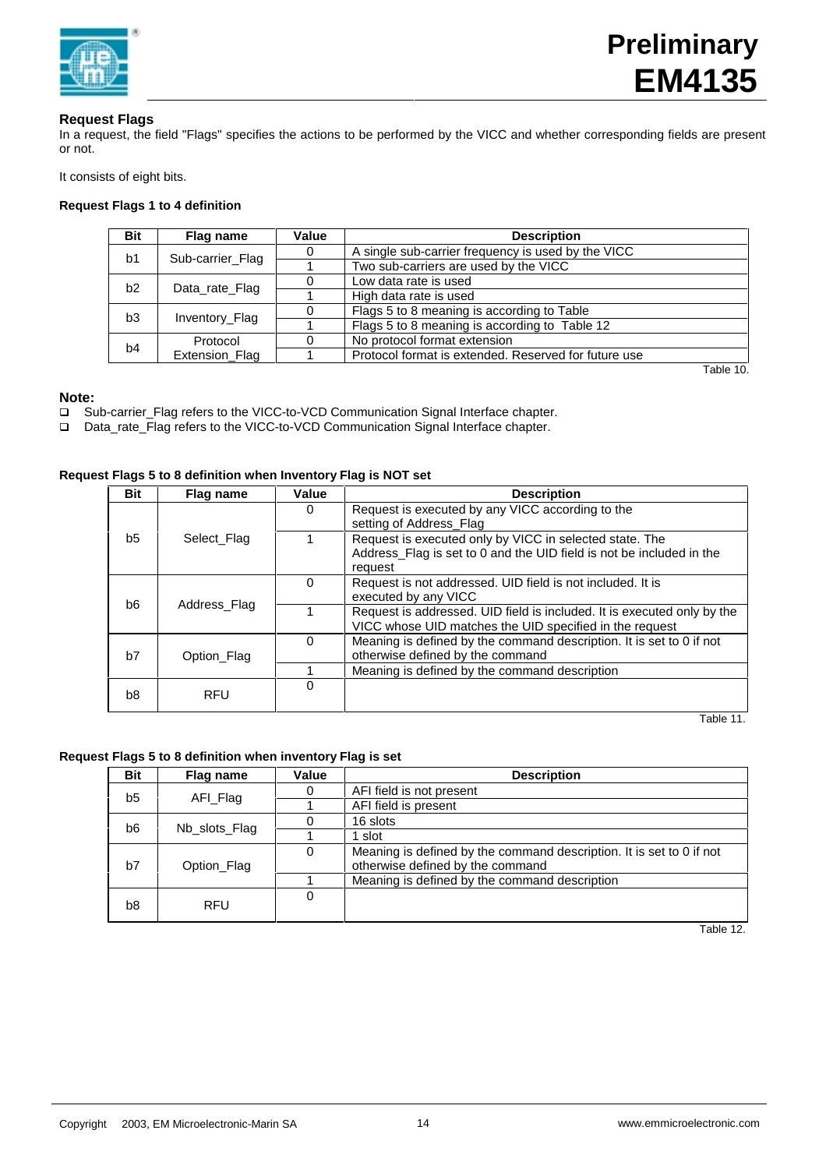

# **Request Flags**

In a request, the field "Flags" specifies the actions to be performed by the VICC and whether corresponding fields are present or not.

It consists of eight bits.

# **Request Flags 1 to 4 definition**

| <b>Bit</b>     | Flag name        | Value | <b>Description</b>                                   |           |
|----------------|------------------|-------|------------------------------------------------------|-----------|
|                |                  | 0     | A single sub-carrier frequency is used by the VICC   |           |
| b <sub>1</sub> | Sub-carrier_Flag |       | Two sub-carriers are used by the VICC                |           |
| b2             |                  |       | Low data rate is used                                |           |
|                | Data rate Flag   |       | High data rate is used                               |           |
| b <sub>3</sub> |                  |       | Flags 5 to 8 meaning is according to Table           |           |
| Inventory_Flag |                  |       | Flags 5 to 8 meaning is according to Table 12        |           |
| b4             | Protocol         |       | No protocol format extension                         |           |
| Extension Flag |                  |       | Protocol format is extended. Reserved for future use |           |
|                |                  |       |                                                      | Table 10. |

**Note:**

- □ Sub-carrier\_Flag refers to the VICC-to-VCD Communication Signal Interface chapter.
- q Data\_rate\_Flag refers to the VICC-to-VCD Communication Signal Interface chapter.

## **Request Flags 5 to 8 definition when Inventory Flag is NOT set**

|  | <b>Bit</b>     | Flag name    | Value | <b>Description</b>                                                      |
|--|----------------|--------------|-------|-------------------------------------------------------------------------|
|  |                |              | 0     | Request is executed by any VICC according to the                        |
|  |                |              |       | setting of Address_Flag                                                 |
|  | b5             | Select Flag  |       | Request is executed only by VICC in selected state. The                 |
|  |                |              |       | Address_Flag is set to 0 and the UID field is not be included in the    |
|  |                |              |       | request                                                                 |
|  | b <sub>6</sub> | Address Flag | 0     | Request is not addressed. UID field is not included. It is              |
|  |                |              |       | executed by any VICC                                                    |
|  |                |              |       | Request is addressed. UID field is included. It is executed only by the |
|  |                |              |       | VICC whose UID matches the UID specified in the request                 |
|  |                | Option Flag  | 0     | Meaning is defined by the command description. It is set to 0 if not    |
|  | b7             |              |       | otherwise defined by the command                                        |
|  |                |              |       | Meaning is defined by the command description                           |
|  |                |              | 0     |                                                                         |
|  | b8             | <b>RFU</b>   |       |                                                                         |
|  |                |              |       | Table 11.                                                               |

# **Request Flags 5 to 8 definition when inventory Flag is set**

| <b>Bit</b>     | Flag name     | Value | <b>Description</b>                                                                                       |
|----------------|---------------|-------|----------------------------------------------------------------------------------------------------------|
| b <sub>5</sub> |               |       | AFI field is not present                                                                                 |
|                | AFI_Flag      |       | AFI field is present                                                                                     |
| b6             | Nb slots Flag |       | 16 slots                                                                                                 |
|                |               |       | 1 slot                                                                                                   |
| b7             | Option_Flag   | 0     | Meaning is defined by the command description. It is set to 0 if not<br>otherwise defined by the command |
|                |               |       | Meaning is defined by the command description                                                            |
| b <sub>8</sub> | <b>RFU</b>    | 0     |                                                                                                          |

Table 12.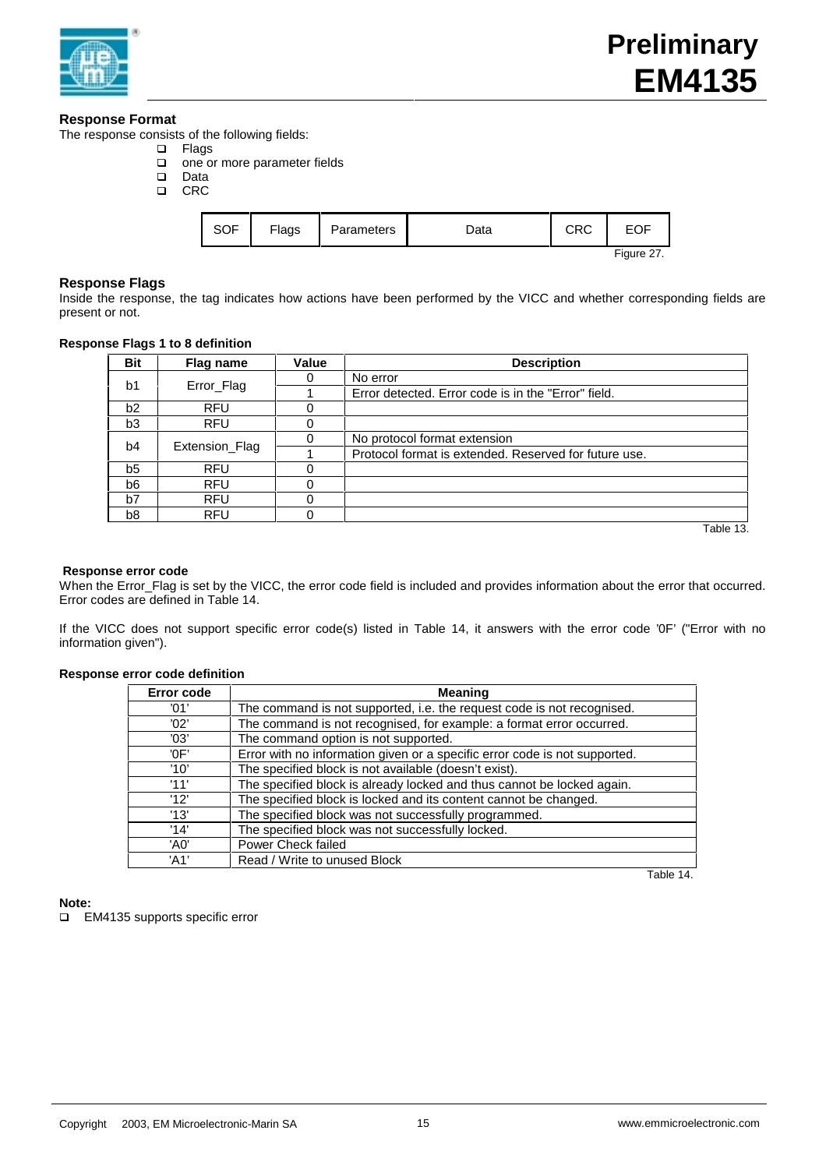

# **Response Format**

The response consists of the following fields:

- q Flags
- □ one or more parameter fields<br>□ Data
- □ Data<br>□ CRC
- CRC

| SOF        | Flags | Parameters | Data | CRC |  |  |  |  |  |
|------------|-------|------------|------|-----|--|--|--|--|--|
| Figure 27. |       |            |      |     |  |  |  |  |  |

# **Response Flags**

Inside the response, the tag indicates how actions have been performed by the VICC and whether corresponding fields are present or not.

# **Response Flags 1 to 8 definition**

| <b>Bit</b>     | Flag name      | Value | <b>Description</b>                                    |
|----------------|----------------|-------|-------------------------------------------------------|
| b <sub>1</sub> |                |       | No error                                              |
|                | Error_Flag     |       | Error detected. Error code is in the "Error" field.   |
| b2             | <b>RFU</b>     |       |                                                       |
| b <sub>3</sub> | <b>RFU</b>     |       |                                                       |
| b <sub>4</sub> | Extension_Flag |       | No protocol format extension                          |
|                |                |       | Protocol format is extended. Reserved for future use. |
| b <sub>5</sub> | <b>RFU</b>     |       |                                                       |
| b6             | <b>RFU</b>     |       |                                                       |
| b7             | <b>RFU</b>     |       |                                                       |
| b8             | <b>RFU</b>     |       |                                                       |

Table 13.

## **Response error code**

When the Error\_Flag is set by the VICC, the error code field is included and provides information about the error that occurred. Error codes are defined in Table 14.

If the VICC does not support specific error code(s) listed in Table 14, it answers with the error code '0F' ("Error with no information given").

## **Response error code definition**

| Error code | <b>Meaning</b>                                                             |
|------------|----------------------------------------------------------------------------|
| '01'       | The command is not supported, i.e. the request code is not recognised.     |
| '02'       | The command is not recognised, for example: a format error occurred.       |
| '03'       | The command option is not supported.                                       |
| 'OF'       | Error with no information given or a specific error code is not supported. |
| '10'       | The specified block is not available (doesn't exist).                      |
| '11'       | The specified block is already locked and thus cannot be locked again.     |
| '12'       | The specified block is locked and its content cannot be changed.           |
| '13'       | The specified block was not successfully programmed.                       |
| '14'       | The specified block was not successfully locked.                           |
| 'A0'       | Power Check failed                                                         |
| 'A1'       | Read / Write to unused Block                                               |

Table 14.

**Note:**

q EM4135 supports specific error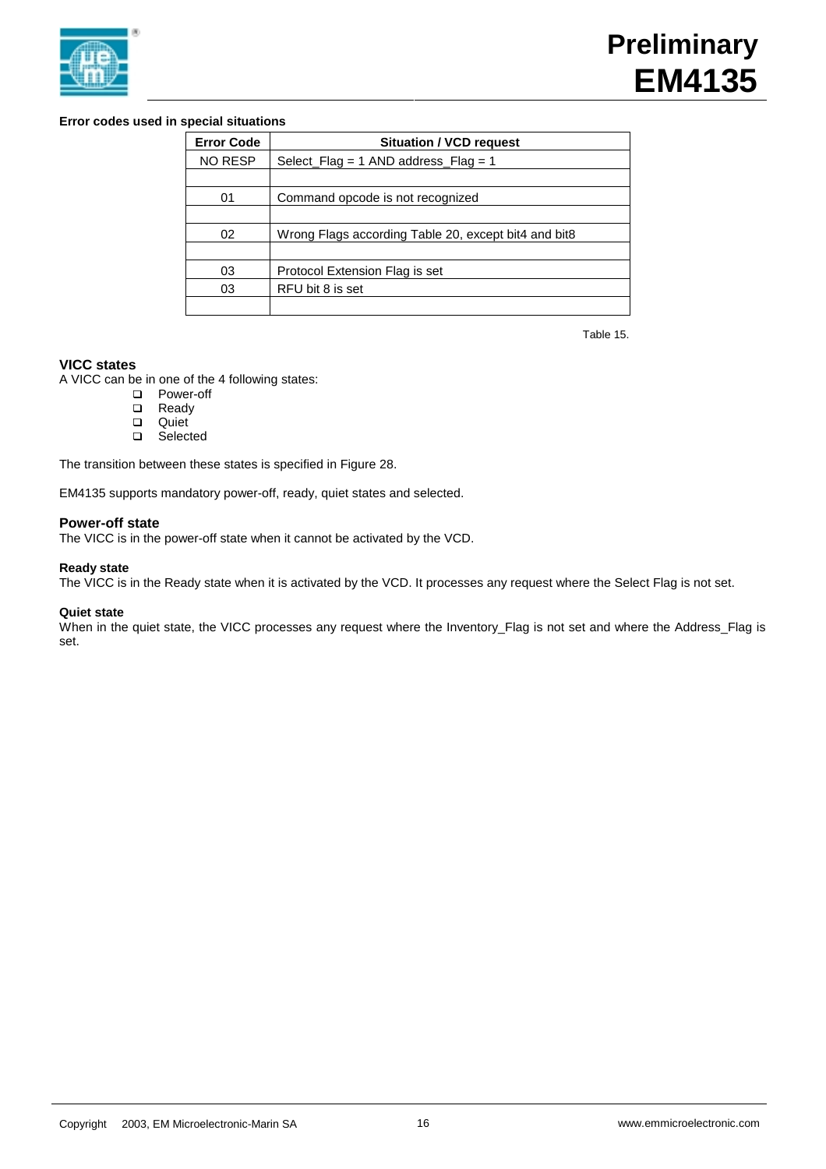

# **Error codes used in special situations**

| <b>Error Code</b> | <b>Situation / VCD request</b>                       |
|-------------------|------------------------------------------------------|
| <b>NO RESP</b>    | Select $Flag = 1$ AND address $Flag = 1$             |
|                   |                                                      |
| 01                | Command opcode is not recognized                     |
|                   |                                                      |
| 02                | Wrong Flags according Table 20, except bit4 and bit8 |
|                   |                                                      |
| 03                | Protocol Extension Flag is set                       |
| 03                | RFU bit 8 is set                                     |
|                   |                                                      |

Table 15.

# **VICC states**

A VICC can be in one of the 4 following states:

- **Q** Power-off
- **□** Ready<br>□ Quiet
- **□** Quiet
- Selected

The transition between these states is specified in Figure 28.

EM4135 supports mandatory power-off, ready, quiet states and selected.

# **Power-off state**

The VICC is in the power-off state when it cannot be activated by the VCD.

# **Ready state**

The VICC is in the Ready state when it is activated by the VCD. It processes any request where the Select Flag is not set.

# **Quiet state**

When in the quiet state, the VICC processes any request where the Inventory\_Flag is not set and where the Address\_Flag is set.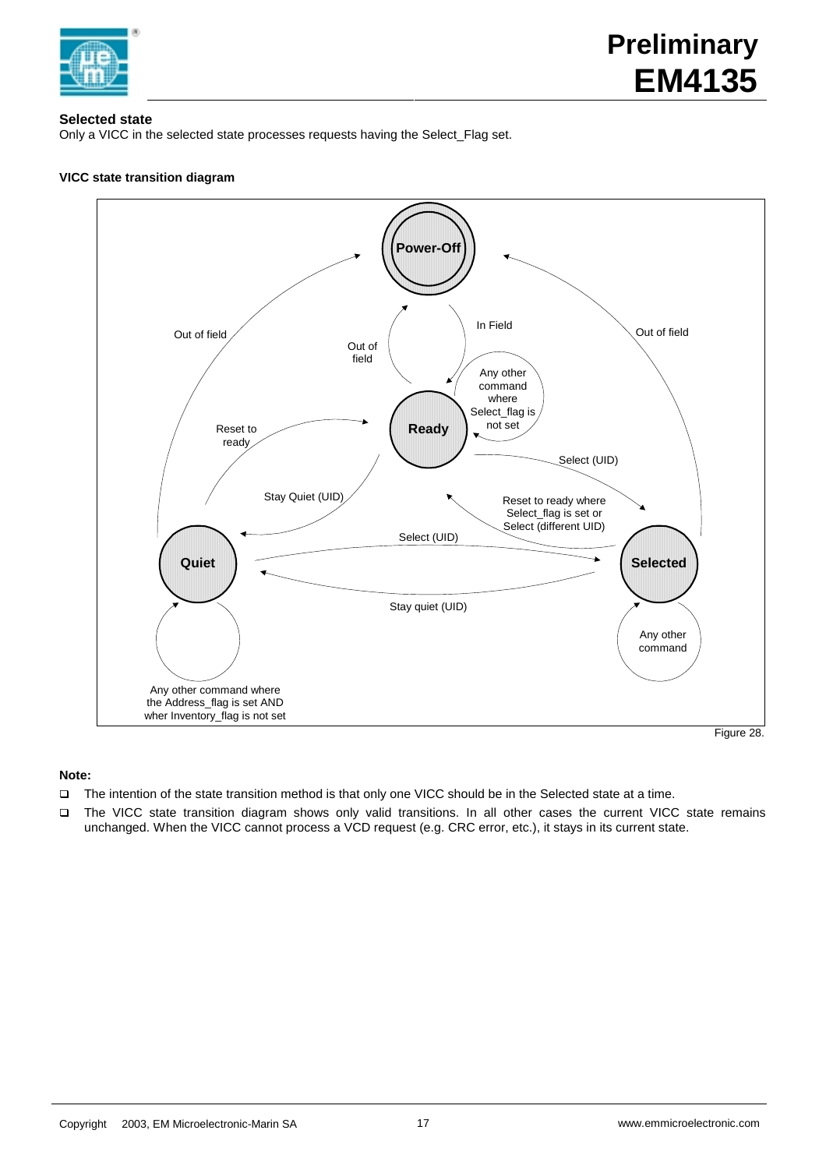

# **Selected state**

Only a VICC in the selected state processes requests having the Select\_Flag set.

# **VICC state transition diagram**



# **Note:**

- q The intention of the state transition method is that only one VICC should be in the Selected state at a time.
- □ The VICC state transition diagram shows only valid transitions. In all other cases the current VICC state remains unchanged. When the VICC cannot process a VCD request (e.g. CRC error, etc.), it stays in its current state.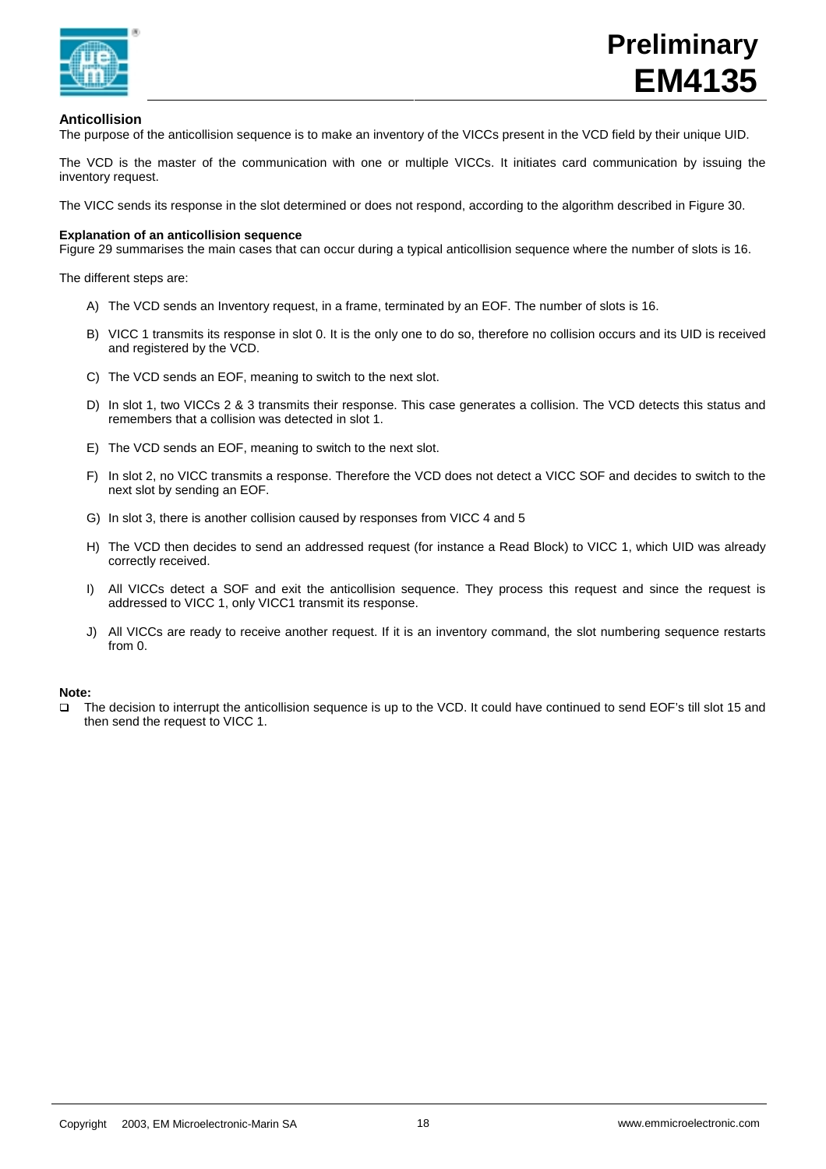

# **Anticollision**

The purpose of the anticollision sequence is to make an inventory of the VICCs present in the VCD field by their unique UID.

The VCD is the master of the communication with one or multiple VICCs. It initiates card communication by issuing the inventory request.

The VICC sends its response in the slot determined or does not respond, according to the algorithm described in Figure 30.

## **Explanation of an anticollision sequence**

Figure 29 summarises the main cases that can occur during a typical anticollision sequence where the number of slots is 16.

The different steps are:

- A) The VCD sends an Inventory request, in a frame, terminated by an EOF. The number of slots is 16.
- B) VICC 1 transmits its response in slot 0. It is the only one to do so, therefore no collision occurs and its UID is received and registered by the VCD.
- C) The VCD sends an EOF, meaning to switch to the next slot.
- D) In slot 1, two VICCs 2 & 3 transmits their response. This case generates a collision. The VCD detects this status and remembers that a collision was detected in slot 1.
- E) The VCD sends an EOF, meaning to switch to the next slot.
- F) In slot 2, no VICC transmits a response. Therefore the VCD does not detect a VICC SOF and decides to switch to the next slot by sending an EOF.
- G) In slot 3, there is another collision caused by responses from VICC 4 and 5
- H) The VCD then decides to send an addressed request (for instance a Read Block) to VICC 1, which UID was already correctly received.
- I) All VICCs detect a SOF and exit the anticollision sequence. They process this request and since the request is addressed to VICC 1, only VICC1 transmit its response.
- J) All VICCs are ready to receive another request. If it is an inventory command, the slot numbering sequence restarts from 0.

# **Note:**

q The decision to interrupt the anticollision sequence is up to the VCD. It could have continued to send EOF's till slot 15 and then send the request to VICC 1.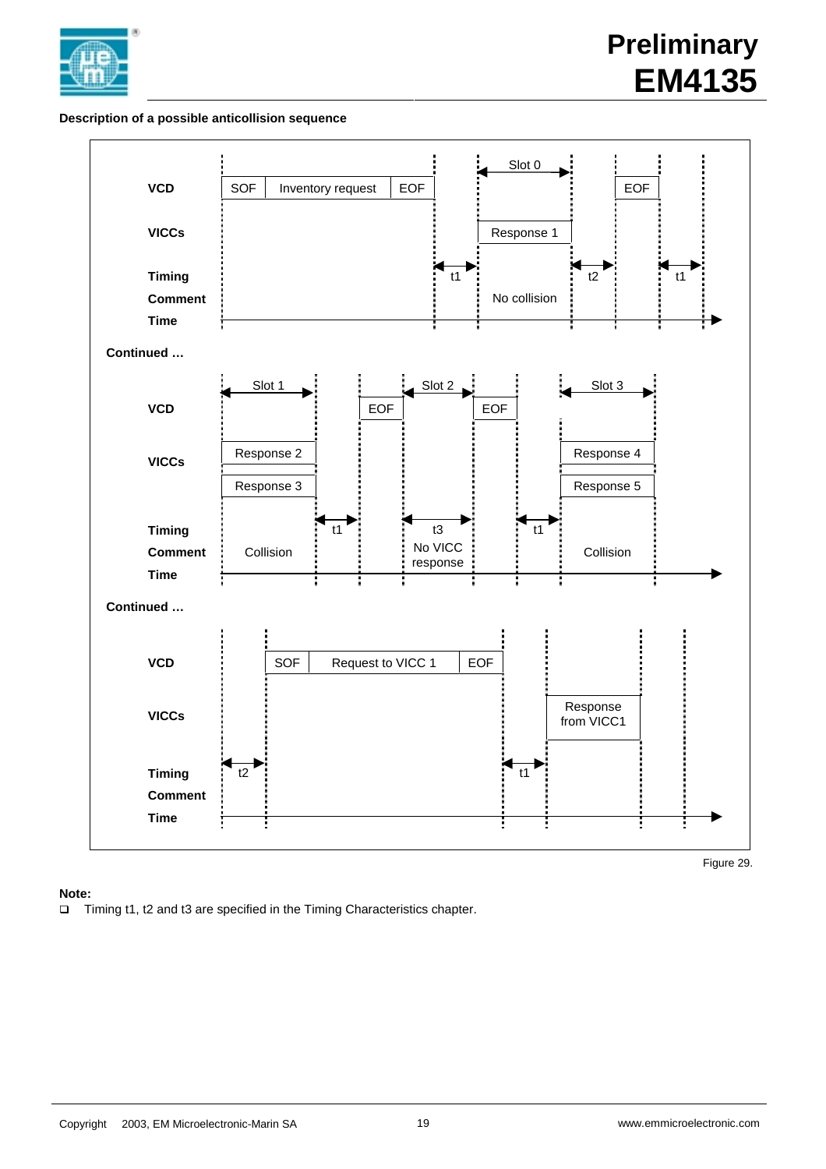

# **Preliminary EM4135**

# **Description of a possible anticollision sequence**



# **Note:**

□ Timing t1, t2 and t3 are specified in the Timing Characteristics chapter.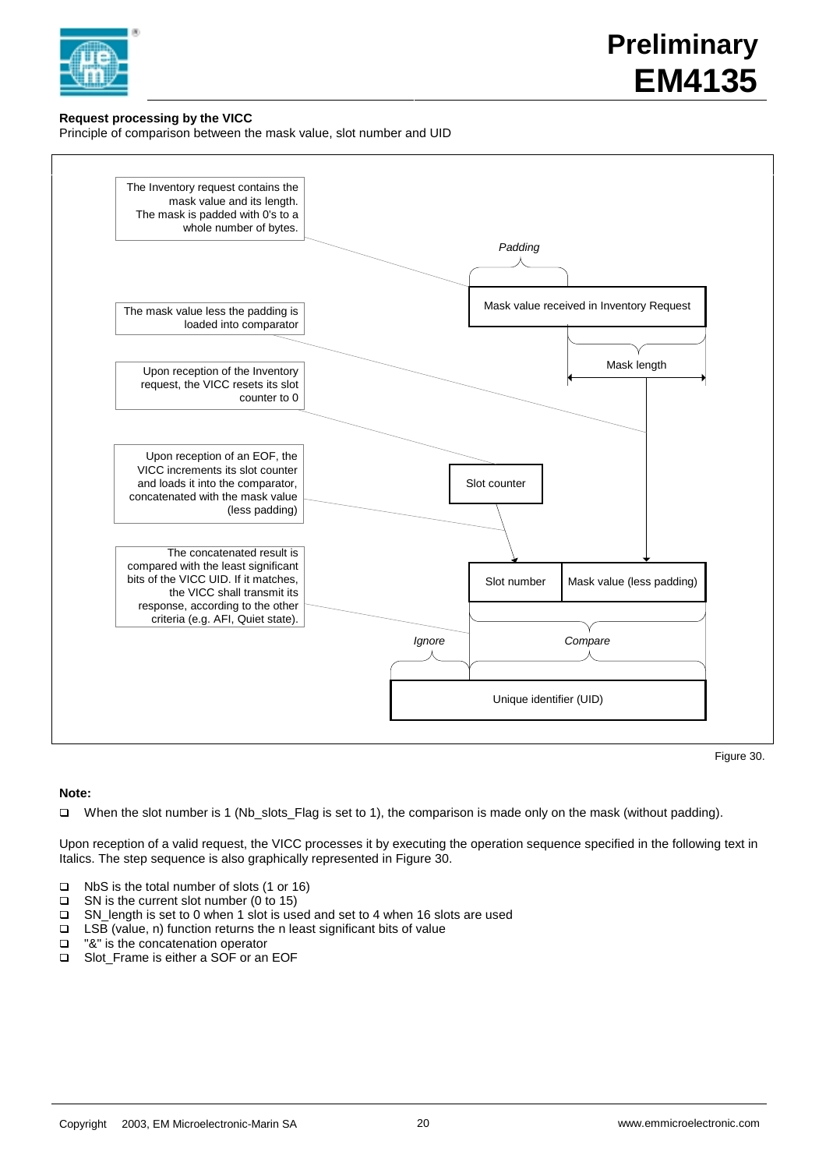

# **Request processing by the VICC**

Principle of comparison between the mask value, slot number and UID



Figure 30.

# **Note:**

q When the slot number is 1 (Nb\_slots\_Flag is set to 1), the comparison is made only on the mask (without padding).

Upon reception of a valid request, the VICC processes it by executing the operation sequence specified in the following text in Italics. The step sequence is also graphically represented in Figure 30.

- q NbS is the total number of slots (1 or 16)
- $\Box$  SN is the current slot number (0 to 15)
- q SN\_length is set to 0 when 1 slot is used and set to 4 when 16 slots are used
- **□** LSB (value, n) function returns the n least significant bits of value  $\blacksquare$  "&" is the concatenation operator
- "&" is the concatenation operator
- □ Slot\_Frame is either a SOF or an EOF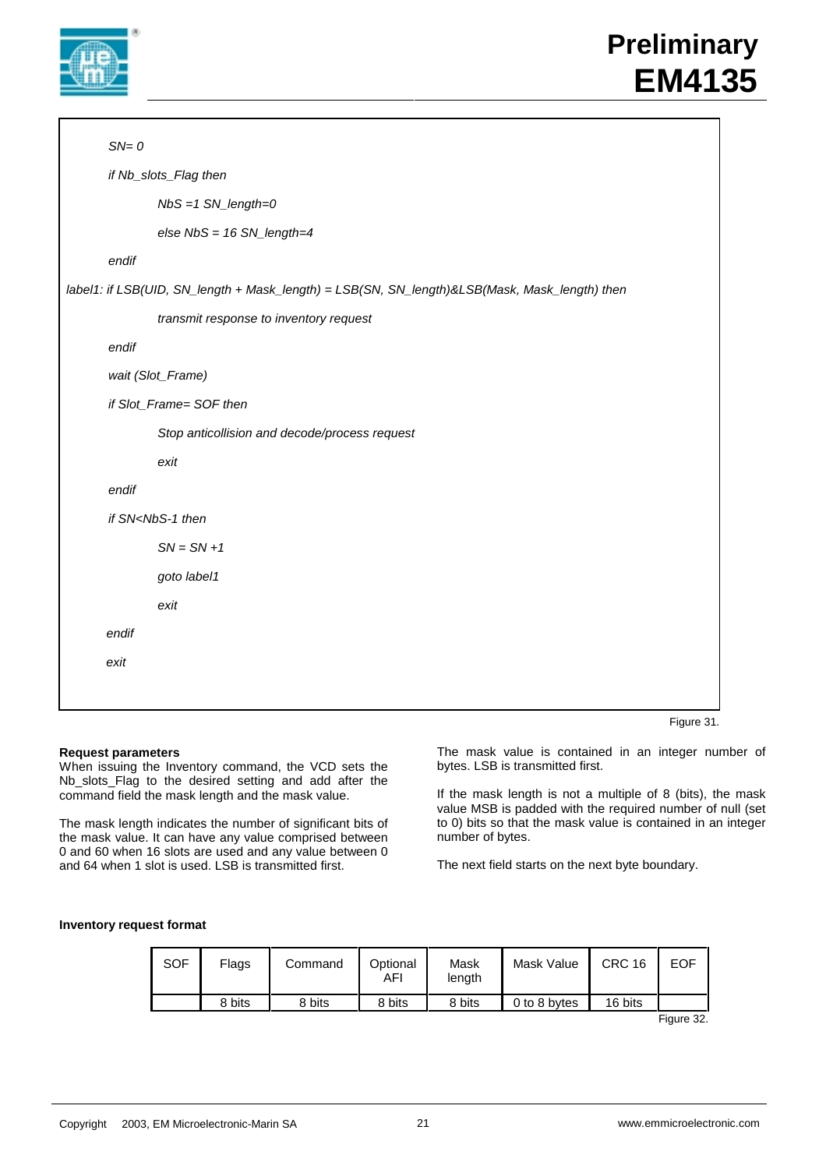

# **Preliminary EM4135**

```
SN = 0if Nb_slots_Flag then
               NbS = 1 SN_length=0
               else NbS = 16 SN_length=4
       endif
label1: if LSB(UID, SN_length + Mask_length) = LSB(SN, SN_length)&LSB(Mask, Mask_length) then
               transmit response to inventory request
       endif
       wait (Slot_Frame)
       if Slot_Frame= SOF then
               Stop anticollision and decode/process request
               exit
       endif
       if SN<NbS-1 then
               SN = SN + 1goto label1
               exit
       endif
       exit
```
Figure 31.

## **Request parameters**

When issuing the Inventory command, the VCD sets the Nb\_slots\_Flag to the desired setting and add after the command field the mask length and the mask value.

The mask length indicates the number of significant bits of the mask value. It can have any value comprised between 0 and 60 when 16 slots are used and any value between 0 and 64 when 1 slot is used. LSB is transmitted first.

The mask value is contained in an integer number of bytes. LSB is transmitted first.

If the mask length is not a multiple of 8 (bits), the mask value MSB is padded with the required number of null (set to 0) bits so that the mask value is contained in an integer number of bytes.

The next field starts on the next byte boundary.

# **Inventory request format**

| <b>SOF</b> | Flags  | Command | Optional<br>AFI | Mask<br>length | Mask Value   | <b>CRC 16</b> | <b>EOF</b> |
|------------|--------|---------|-----------------|----------------|--------------|---------------|------------|
|            | 8 bits | 8 bits  | 8 bits          | 8 bits         | 0 to 8 bytes | 16 bits       |            |
|            |        |         |                 |                |              |               | Figure 32. |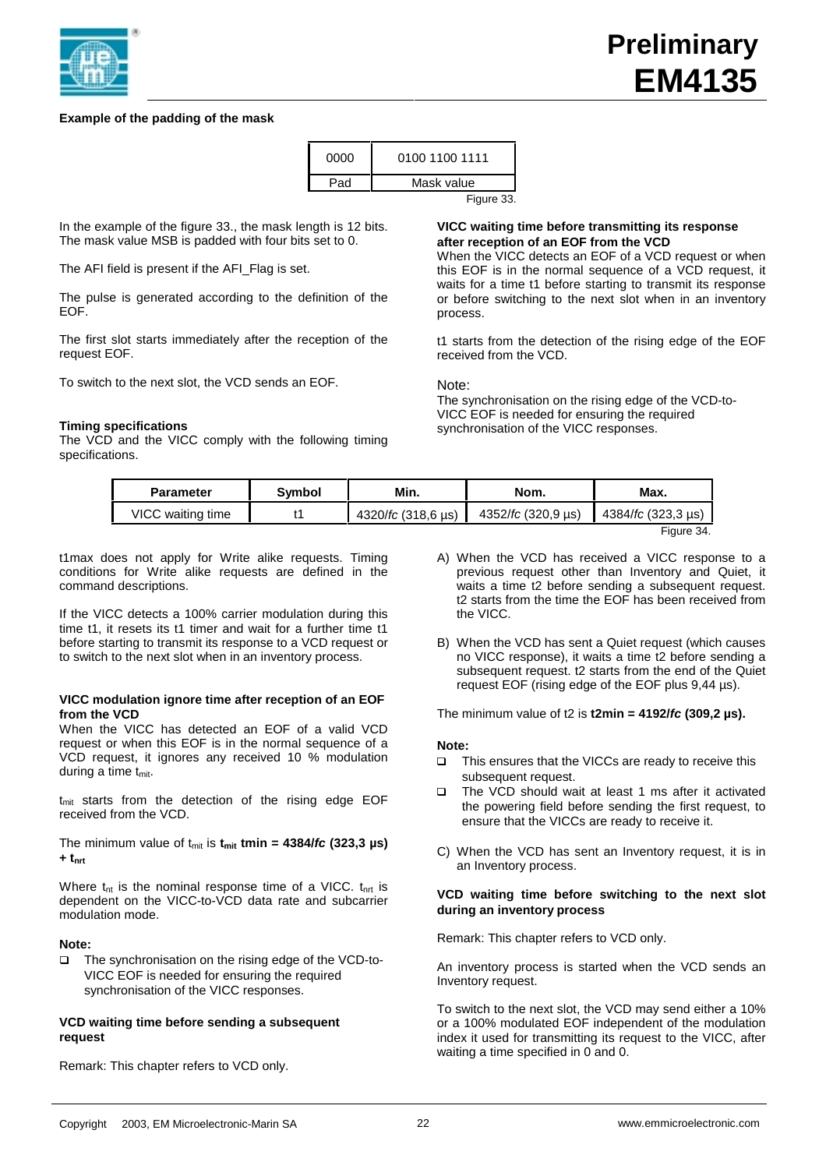

# **Example of the padding of the mask**

| Pad<br>Mask value | 0100 1100 1111<br>0000 |  |
|-------------------|------------------------|--|
|                   |                        |  |

In the example of the figure 33., the mask length is 12 bits. The mask value MSB is padded with four bits set to 0.

The AFI field is present if the AFI\_Flag is set.

The pulse is generated according to the definition of the EOF.

The first slot starts immediately after the reception of the request EOF.

To switch to the next slot, the VCD sends an EOF.

## **Timing specifications**

The VCD and the VICC comply with the following timing specifications.

# **VICC waiting time before transmitting its response after reception of an EOF from the VCD**

When the VICC detects an EOF of a VCD request or when this EOF is in the normal sequence of a VCD request, it waits for a time t1 before starting to transmit its response or before switching to the next slot when in an inventory process.

t1 starts from the detection of the rising edge of the EOF received from the VCD.

Note:

The synchronisation on the rising edge of the VCD-to-VICC EOF is needed for ensuring the required synchronisation of the VICC responses.

| Symbol<br><b>Parameter</b> |  | Min.               | Nom.               | Max.               |
|----------------------------|--|--------------------|--------------------|--------------------|
| VICC waiting time          |  | 4320/fc (318,6 µs) | 4352/fc (320.9 us) | 4384/fc (323,3 µs) |
|                            |  |                    |                    | Figure 34.         |

t1max does not apply for Write alike requests. Timing conditions for Write alike requests are defined in the command descriptions.

If the VICC detects a 100% carrier modulation during this time t1, it resets its t1 timer and wait for a further time t1 before starting to transmit its response to a VCD request or to switch to the next slot when in an inventory process.

#### **VICC modulation ignore time after reception of an EOF from the VCD**

When the VICC has detected an EOF of a valid VCD request or when this EOF is in the normal sequence of a VCD request, it ignores any received 10 % modulation during a time  $t<sub>mit</sub>$ .

t<sub>mit</sub> starts from the detection of the rising edge EOF received from the VCD.

The minimum value of  $t_{\text{mit}}$  is  $t_{\text{mit}}$  tmin = 4384/*fc* (323,3  $\mu$ s) **+ tnrt**

Where  $t_{nt}$  is the nominal response time of a VICC.  $t_{nt}$  is dependent on the VICC-to-VCD data rate and subcarrier modulation mode.

## **Note:**

□ The synchronisation on the rising edge of the VCD-to-VICC EOF is needed for ensuring the required synchronisation of the VICC responses.

## **VCD waiting time before sending a subsequent request**

Remark: This chapter refers to VCD only.

- A) When the VCD has received a VICC response to a previous request other than Inventory and Quiet, it waits a time t2 before sending a subsequent request. t2 starts from the time the EOF has been received from the VICC.
- B) When the VCD has sent a Quiet request (which causes no VICC response), it waits a time t2 before sending a subsequent request. t2 starts from the end of the Quiet request EOF (rising edge of the EOF plus 9,44 µs).

The minimum value of t2 is **t2min = 4192/fc (309,2 µs).**

#### **Note:**

- □ This ensures that the VICCs are ready to receive this subsequent request.
- □ The VCD should wait at least 1 ms after it activated the powering field before sending the first request, to ensure that the VICCs are ready to receive it.
- C) When the VCD has sent an Inventory request, it is in an Inventory process.

#### **VCD waiting time before switching to the next slot during an inventory process**

Remark: This chapter refers to VCD only.

An inventory process is started when the VCD sends an Inventory request.

To switch to the next slot, the VCD may send either a 10% or a 100% modulated EOF independent of the modulation index it used for transmitting its request to the VICC, after waiting a time specified in 0 and 0.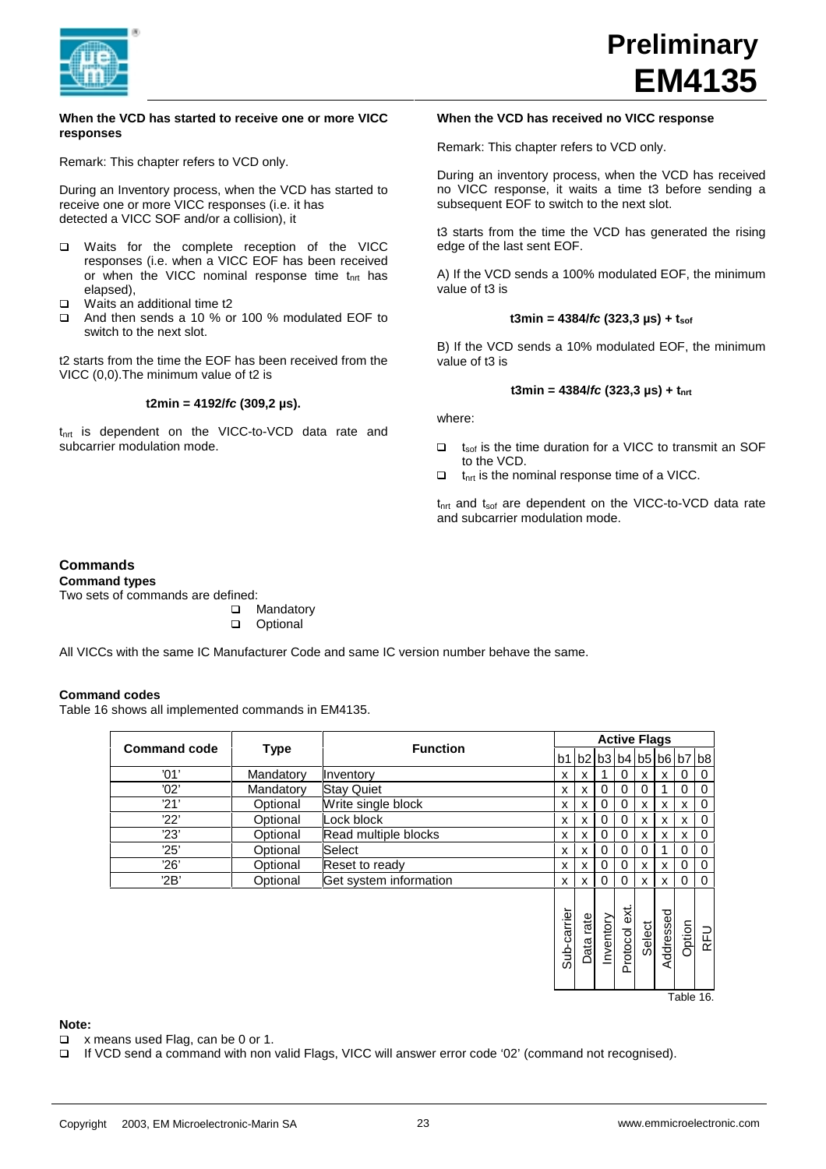

#### **When the VCD has started to receive one or more VICC responses**

Remark: This chapter refers to VCD only.

During an Inventory process, when the VCD has started to receive one or more VICC responses (i.e. it has detected a VICC SOF and/or a collision), it

- q Waits for the complete reception of the VICC responses (i.e. when a VICC EOF has been received or when the VICC nominal response time  $t<sub>nt</sub>$  has elapsed),
- □ Waits an additional time t2
- q And then sends a 10 % or 100 % modulated EOF to switch to the next slot.

t2 starts from the time the EOF has been received from the VICC (0,0).The minimum value of t2 is

## **t2min = 4192/fc (309,2 µs).**

 $t<sub>nt</sub>$  is dependent on the VICC-to-VCD data rate and subcarrier modulation mode.

## **When the VCD has received no VICC response**

Remark: This chapter refers to VCD only.

During an inventory process, when the VCD has received no VICC response, it waits a time t3 before sending a subsequent EOF to switch to the next slot.

t3 starts from the time the VCD has generated the rising edge of the last sent EOF.

A) If the VCD sends a 100% modulated EOF, the minimum value of t3 is

## $t3min = 4384$ / $fc$  (323,3  $\mu s$ ) +  $t_{\text{soft}}$

B) If the VCD sends a 10% modulated EOF, the minimum value of t3 is

## **t3min = 4384/fc (323,3 µs) + tnrt**

where:

- $\Box$  t<sub>sof</sub> is the time duration for a VICC to transmit an SOF to the VCD.
- $\Box$  t<sub>nrt</sub> is the nominal response time of a VICC.

 $t_{\text{nrt}}$  and  $t_{\text{soft}}$  are dependent on the VICC-to-VCD data rate and subcarrier modulation mode.

# **Commands**

**Command types**

Two sets of commands are defined:

**□** Mandatory<br>□ Optional

Optional

All VICCs with the same IC Manufacturer Code and same IC version number behave the same.

# **Command codes**

Table 16 shows all implemented commands in EM4135.

|                     | <b>Type</b> |                        | <b>Active Flags</b> |                           |           |              |        |           |          |             |
|---------------------|-------------|------------------------|---------------------|---------------------------|-----------|--------------|--------|-----------|----------|-------------|
| <b>Command code</b> |             | <b>Function</b>        |                     | b1 b2 b3 b4 b5 b6 b7 b8   |           |              |        |           |          |             |
| '01'                | Mandatory   | Inventory              | X                   | X                         |           | $\Omega$     | X      | X         | 0        | 0           |
| '02'                | Mandatory   | <b>Stay Quiet</b>      | X                   | $\boldsymbol{\mathsf{x}}$ | 0         | $\Omega$     | 0      |           | 0        | $\Omega$    |
| '21'                | Optional    | Write single block     | X                   | x                         | 0         | 0            | X      | X         | x        | 0           |
| 22'                 | Optional    | Lock block             | X                   | x                         | 0         | 0            | X      | X         | x        | 0           |
| '23'                | Optional    | Read multiple blocks   | X                   | $\boldsymbol{\mathsf{x}}$ | 0         | 0            | x      | X         | x        | $\mathbf 0$ |
| 25'                 | Optional    | Select                 | X                   | x                         | 0         | 0            | 0      |           | 0        | $\mathbf 0$ |
| '26'                | Optional    | Reset to ready         | X                   | X                         | 0         | 0            | X      | X         | 0        | $\mathbf 0$ |
| '2B'                | Optional    | Get system information | $\mathsf{x}$        | $\boldsymbol{\mathsf{x}}$ | $\Omega$  | 0            | X      | X         | $\Omega$ | $\Omega$    |
|                     |             |                        | Sub-carrier         | Data rate                 | Inventory | Protocol ext | Select | Addressed | Option   | RFU         |

**Note:**

- $\Box$  x means used Flag, can be 0 or 1.
- If VCD send a command with non valid Flags, VICC will answer error code '02' (command not recognised).

Table 16.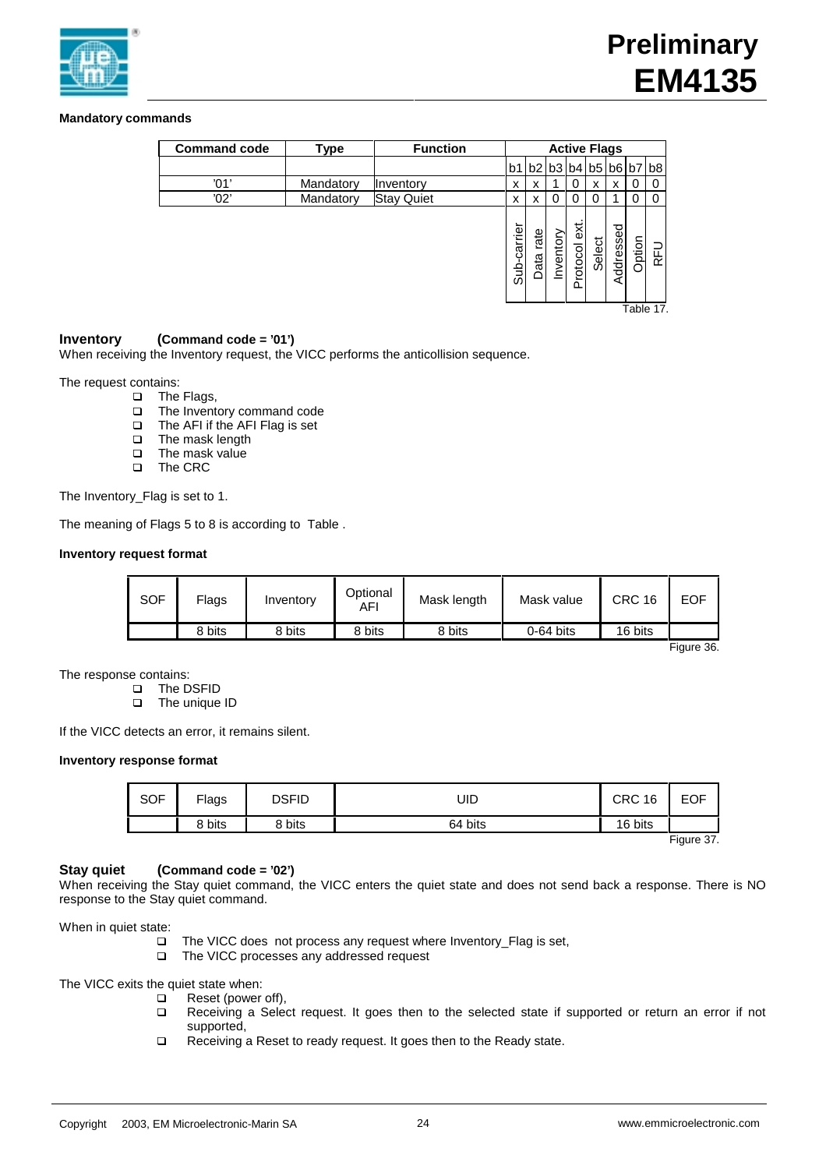

# **Mandatory commands**

| <b>Command code</b> | Type      | <b>Function</b>   | <b>Active Flags</b> |              |           |                     |        |           |          |            |
|---------------------|-----------|-------------------|---------------------|--------------|-----------|---------------------|--------|-----------|----------|------------|
|                     |           |                   | b1                  |              |           | b2 b3 b4            | b5     |           | b6 b7 b8 |            |
| '01'                | Mandatory | Inventory         | x                   | x            |           | 0                   | x      | x         | 0        |            |
| '02'                | Mandatory | <b>Stay Quiet</b> | x                   | x            | 0         | 0                   | 0      |           | 0        |            |
|                     |           |                   | carrier<br>خ<br>8   | rate<br>Data | Inventory | εxt<br>rotocol<br>௳ | Select | Addressed | Option   | <b>RFU</b> |
| Table 17.           |           |                   |                     |              |           |                     |        |           |          |            |

# **Inventory (Command code = '01')**

When receiving the Inventory request, the VICC performs the anticollision sequence.

The request contains:

- □ The Flags,
	- q The Inventory command code
	- q The AFI if the AFI Flag is set
	- **Q** The mask length
	- $\Box$  The mask value
	- The CRC

The Inventory\_Flag is set to 1.

The meaning of Flags 5 to 8 is according to Table .

## **Inventory request format**

| <b>SOF</b> | Flags  | Inventory | Optional<br>AFI | Mask length | Mask value  | <b>CRC 16</b> | <b>EOF</b> |
|------------|--------|-----------|-----------------|-------------|-------------|---------------|------------|
|            | 8 bits | 8 bits    | 8 bits          | 8 bits      | $0-64$ bits | 16 bits       |            |

Figure 36.

The response contains:

q The DSFID

q The unique ID

If the VICC detects an error, it remains silent.

## **Inventory response format**

| <b>SOF</b> | Flags  | <b>DSFID</b> | UID     | <b>CRC 16</b> | <b>EOF</b>        |
|------------|--------|--------------|---------|---------------|-------------------|
|            | 8 bits | 8 bits       | 64 bits | 16 bits       |                   |
|            |        |              |         |               | $- \cdot$<br>$ -$ |

Figure 37.

## **Stay quiet (Command code = '02')**

When receiving the Stay quiet command, the VICC enters the quiet state and does not send back a response. There is NO response to the Stay quiet command.

When in quiet state:

- $\Box$  The VICC does not process any request where Inventory\_Flag is set,<br>  $\Box$  The VICC processes any addressed request
- The VICC processes any addressed request

The VICC exits the quiet state when:

- Reset (power off),
- q Receiving a Select request. It goes then to the selected state if supported or return an error if not supported,
- □ Receiving a Reset to ready request. It goes then to the Ready state.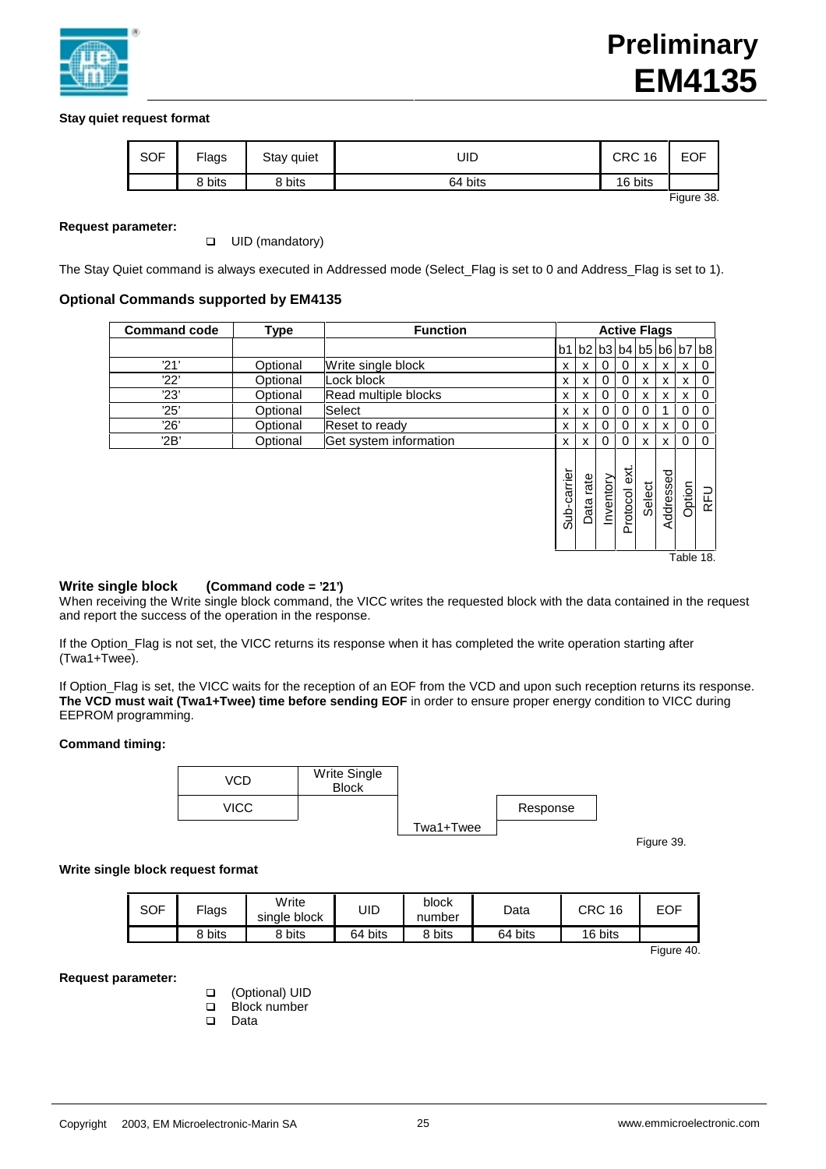

# **Stay quiet request format**

| <b>SOF</b> | <b>Flags</b> | Stay quiet | UID     | <b>CRC 16</b> | EOF        |
|------------|--------------|------------|---------|---------------|------------|
|            | 8 bits       | 8 bits     | 64 bits | 16 bits       |            |
|            |              |            |         |               | --<br>$ -$ |

Figure 38.

## **Request parameter:**

**Q** UID (mandatory)

The Stay Quiet command is always executed in Addressed mode (Select Flag is set to 0 and Address Flag is set to 1).

## **Optional Commands supported by EM4135**

| <b>Command code</b> | Type     | <b>Function</b>        |             |                         |           |                  | <b>Active Flags</b> |           |          |            |
|---------------------|----------|------------------------|-------------|-------------------------|-----------|------------------|---------------------|-----------|----------|------------|
|                     |          |                        |             | b1 b2 b3 b4 b5 b6 b7 b8 |           |                  |                     |           |          |            |
| '21'                | Optional | Write single block     | x           | X                       | 0         | 0                | X                   | x         | x        | 0          |
| '22'                | Optional | Lock block             | x           | x                       | 0         | 0                | X                   | x         | x        | 0          |
| '23'                | Optional | Read multiple blocks   | x           | X                       | 0         | 0                | X                   | x         | x        | 0          |
| 25'                 | Optional | Select                 | x           | x                       | 0         | 0                | 0                   |           | 0        | $\Omega$   |
| '26'                | Optional | Reset to ready         | x           | x                       | 0         | 0                | X                   | x         | 0        | 0          |
| '2B'                | Optional | Get system information | x           | X                       | 0         | 0                | x                   | X         | $\Omega$ | $\Omega$   |
|                     |          |                        | Sub-carrier | rate<br>Data            | Inventory | ext.<br>Protocol | Select              | Addressed | Option   | <b>RFU</b> |

Table 18.

## **Write single block (Command code = '21')**

When receiving the Write single block command, the VICC writes the requested block with the data contained in the request and report the success of the operation in the response.

If the Option\_Flag is not set, the VICC returns its response when it has completed the write operation starting after (Twa1+Twee).

If Option\_Flag is set, the VICC waits for the reception of an EOF from the VCD and upon such reception returns its response. **The VCD must wait (Twa1+Twee) time before sending EOF** in order to ensure proper energy condition to VICC during EEPROM programming.

## **Command timing:**



Figure 39.

## **Write single block request format**

| <b>SOF</b> | Flags  | Write<br>single block | JID     | block<br>number | Data    | CRC 16  | EOF        |
|------------|--------|-----------------------|---------|-----------------|---------|---------|------------|
|            | 8 bits | 8 bits                | 64 bits | 8 bits          | 64 bits | 16 bits |            |
|            |        |                       |         |                 |         |         | Figure 40. |

## **Request parameter:**

- q (Optional) UID
- D Block number
- q Data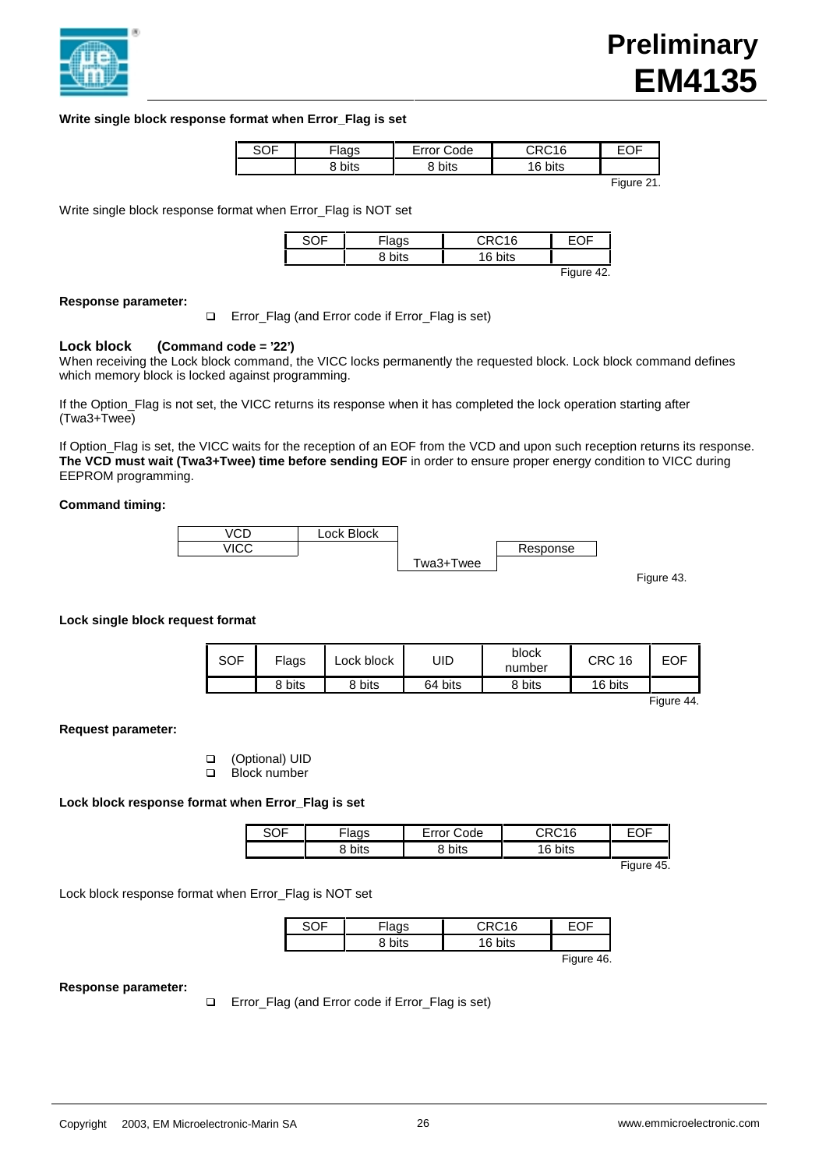

## **Write single block response format when Error\_Flag is set**

| ישכ | $-1200$<br>iaus | $\mathsf{r}$ reprises<br>ode | 20016       | $\sim$ $-$ |
|-----|-----------------|------------------------------|-------------|------------|
|     | bits            | bits                         | oits<br>. . |            |

Figure 21.

Write single block response format when Error Flag is NOT set

|  | CDMAC |                 |
|--|-------|-----------------|
|  |       |                 |
|  |       | $\Gamma$ : $40$ |

#### Figure 42.

#### **Response parameter:**

□ Error\_Flag (and Error code if Error\_Flag is set)

## **Lock block (Command code = '22')**

When receiving the Lock block command, the VICC locks permanently the requested block. Lock block command defines which memory block is locked against programming.

If the Option\_Flag is not set, the VICC returns its response when it has completed the lock operation starting after (Twa3+Twee)

If Option\_Flag is set, the VICC waits for the reception of an EOF from the VCD and upon such reception returns its response. **The VCD must wait (Twa3+Twee) time before sending EOF** in order to ensure proper energy condition to VICC during EEPROM programming.

#### **Command timing:**



Figure 43.

## **Lock single block request format**

| SOF | Flags  | Lock block | UID     | block<br>number | CRC<br>16 | EOF                  |
|-----|--------|------------|---------|-----------------|-----------|----------------------|
|     | 8 bits | 8 bits     | 64 bits | 8 bits          | 16 bits   |                      |
|     |        |            |         |                 |           | $\Gamma$ : $\Lambda$ |

Figure 44.

**Request parameter:**

- q (Optional) UID
- D Block number

## **Lock block response format when Error\_Flag is set**

|             | .<br>`ode   | $D$ $C$ <sub>4</sub> $C$ |  |
|-------------|-------------|--------------------------|--|
| hite<br>טוע | hite<br>ມເວ | bits<br>. .              |  |

Figure 45.

Lock block response format when Error\_Flag is NOT set

| idyə | ∩RC16 |               |
|------|-------|---------------|
|      |       |               |
|      |       | $Eianra$ $AC$ |

Figure 46.

#### **Response parameter:**

□ Error\_Flag (and Error code if Error\_Flag is set)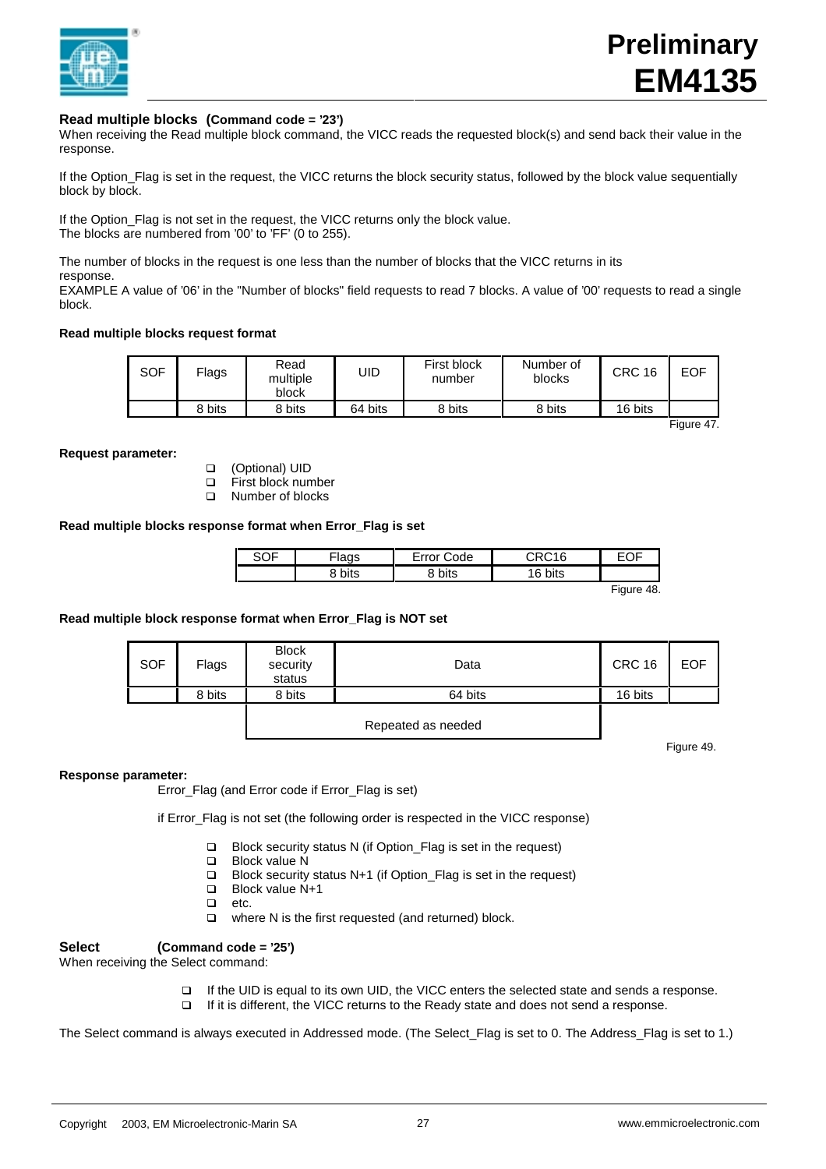

## **Read multiple blocks (Command code = '23')**

When receiving the Read multiple block command, the VICC reads the requested block(s) and send back their value in the response.

If the Option\_Flag is set in the request, the VICC returns the block security status, followed by the block value sequentially block by block.

If the Option\_Flag is not set in the request, the VICC returns only the block value. The blocks are numbered from '00' to 'FF' (0 to 255).

The number of blocks in the request is one less than the number of blocks that the VICC returns in its response.

EXAMPLE A value of '06' in the "Number of blocks" field requests to read 7 blocks. A value of '00' requests to read a single block.

## **Read multiple blocks request format**

| SOF | Flags  | Read<br>multiple<br>block | UID     | First block<br>number | Number of<br>blocks | CRC 16  | <b>EOF</b> |
|-----|--------|---------------------------|---------|-----------------------|---------------------|---------|------------|
|     | 8 bits | 8 bits                    | 64 bits | 8 bits                | 8 bits              | 16 bits |            |

Figure 47.

#### **Request parameter:**

- q (Optional) UID
- □ First block number
- **Q** Number of blocks

## **Read multiple blocks response format when Error\_Flag is set**

| ` hits<br>bits<br>hits<br>$\epsilon$ | SOF | <sup>=</sup> lags | ode<br>∙rr∩r | $\sim$ $\sim$ 16 | $ -$<br>. .<br>-<br>◡<br>_ |
|--------------------------------------|-----|-------------------|--------------|------------------|----------------------------|
|                                      |     |                   |              |                  |                            |

Figure 48.

# **Read multiple block response format when Error\_Flag is NOT set**

| <b>SOF</b> | Flags  | <b>Block</b><br>security<br>status | Data               | <b>CRC 16</b> | <b>EOF</b> |
|------------|--------|------------------------------------|--------------------|---------------|------------|
|            | 8 bits | 8 bits                             | 64 bits            | 16 bits       |            |
|            |        |                                    | Repeated as needed |               |            |

Figure 49.

#### **Response parameter:**

Error\_Flag (and Error code if Error\_Flag is set)

if Error\_Flag is not set (the following order is respected in the VICC response)

- □ Block security status N (if Option\_Flag is set in the request)
- $\Box$  Block value N
- q Block security status N+1 (if Option\_Flag is set in the request)
- Block value N+1
- $\Box$  etc.
- $\Box$  where N is the first requested (and returned) block.

# **Select (Command code = '25')**

When receiving the Select command:

- □ If the UID is equal to its own UID, the VICC enters the selected state and sends a response.
- □ If it is different, the VICC returns to the Ready state and does not send a response.

The Select command is always executed in Addressed mode. (The Select\_Flag is set to 0. The Address\_Flag is set to 1.)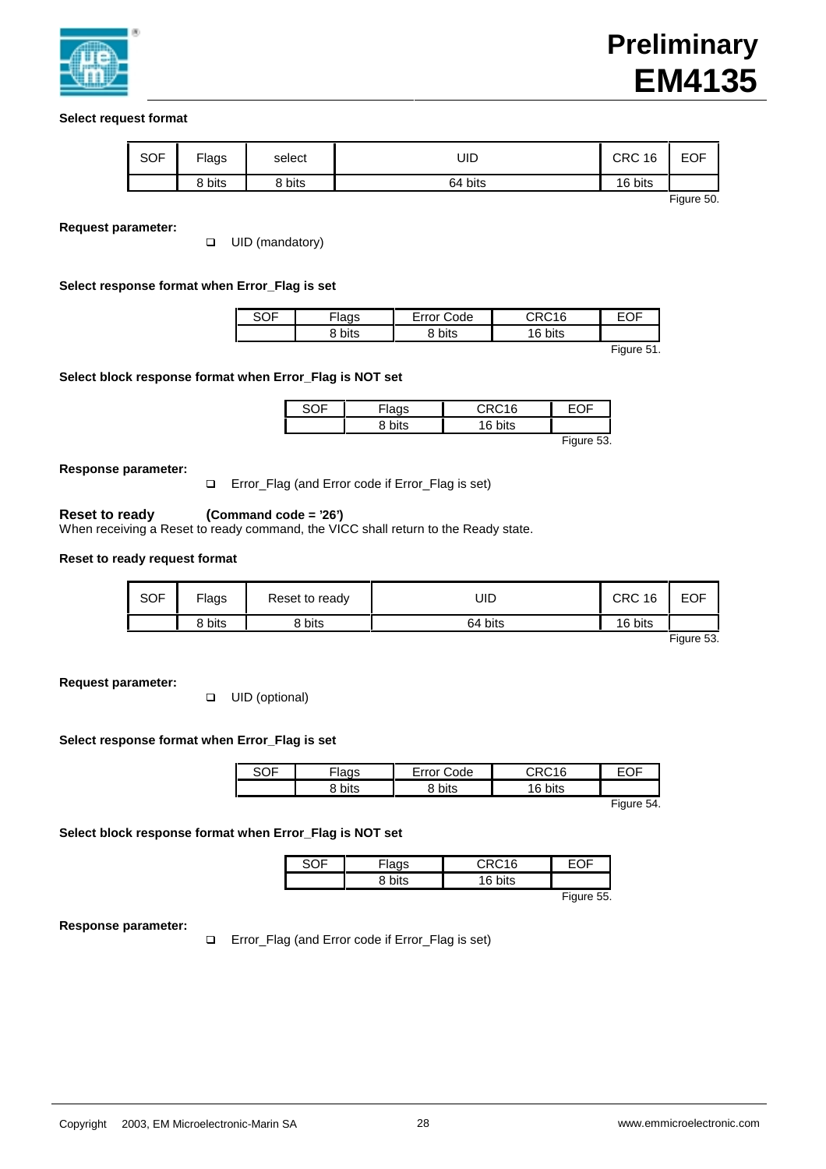

# **Select request format**

| <b>SOF</b> | Flags  | select | UID     | <b>CRC 16</b> | <b>EOF</b> |
|------------|--------|--------|---------|---------------|------------|
|            | ९ bits | 8 bits | 64 bits | 16 bits       |            |

Figure 50.

## **Request parameter:**

**Q** UID (mandatory)

# **Select response format when Error\_Flag is set**

|  | ode | $\sim$ $\sim$ $\sim$ $\sim$ $\sim$ | -- |
|--|-----|------------------------------------|----|
|  |     | . .                                |    |

Figure 51.

## **Select block response format when Error\_Flag is NOT set**

|  | $-210$   |           |      |
|--|----------|-----------|------|
|  | c<br>۔ ت |           |      |
|  |          | $- \cdot$ | $-1$ |

Figure 53.

## **Response parameter:**

□ Error\_Flag (and Error code if Error\_Flag is set)

# **Reset to ready (Command code = '26')**

When receiving a Reset to ready command, the VICC shall return to the Ready state.

# **Reset to ready request format**

| <b>SOF</b> | Flags  | Reset to ready | UID     | <b>CRC 16</b> | <b>EOF</b> |
|------------|--------|----------------|---------|---------------|------------|
|            | 8 bits | 8 bits         | 64 bits | 16 bits       |            |

Figure 53.

**Request parameter:**

**Q** UID (optional)

## **Select response format when Error\_Flag is set**

| ישי          | ode<br>---- | ı                | $ -$<br>້ |                                 |
|--------------|-------------|------------------|-----------|---------------------------------|
| n., +<br>110 | <br><br>טוע | c<br>$+e$<br>טוי |           |                                 |
|              |             |                  | $-$       | the contract of the contract of |

Figure 54.

## **Select block response format when Error\_Flag is NOT set**

| -lags | CRC16   |            |
|-------|---------|------------|
|       | 16 bits |            |
|       |         | Figure 55. |

**Response parameter:**

□ Error\_Flag (and Error code if Error\_Flag is set)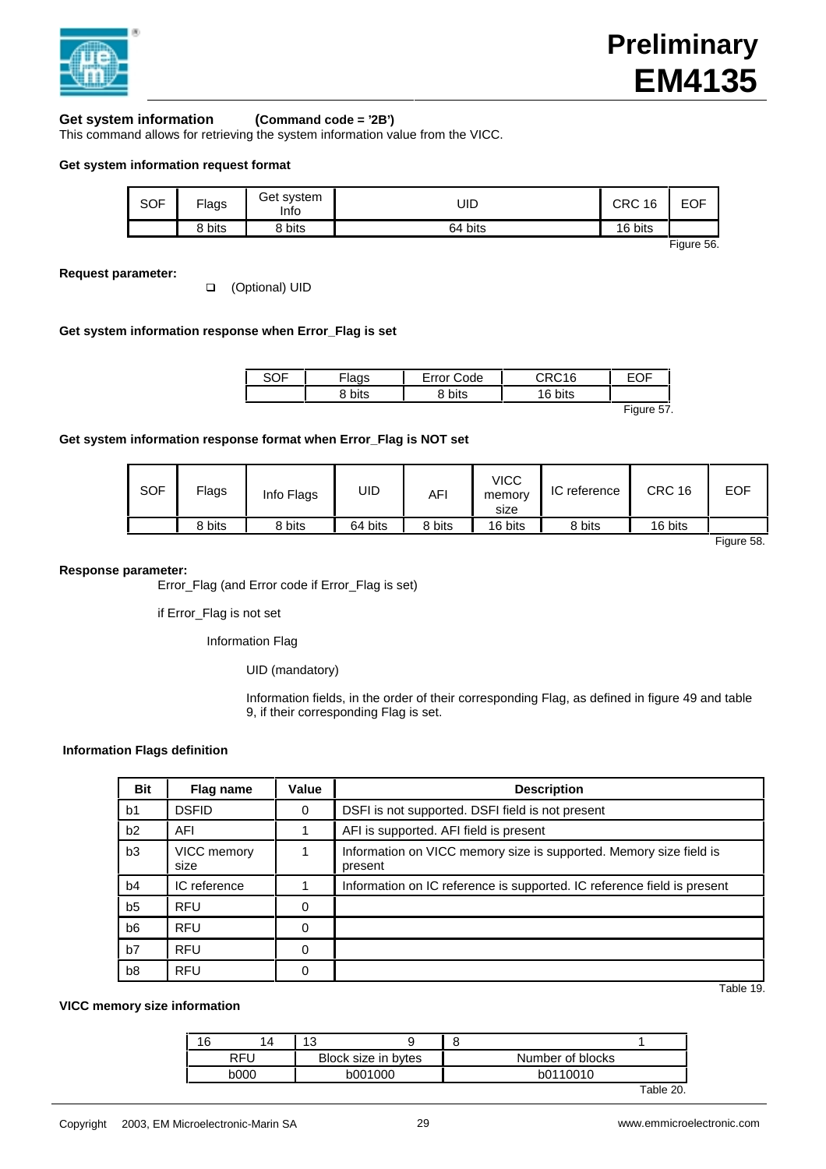

# **Get system information (Command code = '2B')**

This command allows for retrieving the system information value from the VICC.

## **Get system information request format**

| SOF | Flags  | Get system<br>Info | UID     | CRC 16  | <b>EOF</b> |
|-----|--------|--------------------|---------|---------|------------|
|     | 8 bits | 8 bits             | 64 bits | 16 bits |            |

Figure 56.

**Request parameter:**

□ (Optional) UID

## **Get system information response when Error\_Flag is set**

| SOF | lags                 | ∙rr∩r<br>`ode   | CDC16    | $\sim$ $-$ |
|-----|----------------------|-----------------|----------|------------|
|     | <b>10.100</b><br>בוו | <b>1.1</b><br>ັ | vits<br> |            |
|     |                      |                 |          | $-$        |

Figure 57.

## **Get system information response format when Error\_Flag is NOT set**

| <b>SOF</b> | Flags  | Info Flags | UID     | AFI    | VICC<br>memory<br>size | IC reference | <b>CRC 16</b> | <b>EOF</b> |
|------------|--------|------------|---------|--------|------------------------|--------------|---------------|------------|
|            | 8 bits | 8 bits     | 64 bits | 8 bits | 16 bits                | 8 bits       | 16 bits       |            |

Figure 58.

#### **Response parameter:**

Error\_Flag (and Error code if Error\_Flag is set)

if Error\_Flag is not set

Information Flag

UID (mandatory)

Information fields, in the order of their corresponding Flag, as defined in figure 49 and table 9, if their corresponding Flag is set.

## **Information Flags definition**

| <b>Bit</b>     | Flag name           | Value | <b>Description</b>                                                            |
|----------------|---------------------|-------|-------------------------------------------------------------------------------|
| b <sub>1</sub> | <b>DSFID</b>        | 0     | DSFI is not supported. DSFI field is not present                              |
| b2             | AFI                 |       | AFI is supported. AFI field is present                                        |
| b3             | VICC memory<br>size |       | Information on VICC memory size is supported. Memory size field is<br>present |
| b4             | IC reference        |       | Information on IC reference is supported. IC reference field is present       |
| b <sub>5</sub> | <b>RFU</b>          | 0     |                                                                               |
| b <sub>6</sub> | <b>RFU</b>          | 0     |                                                                               |
| b7             | <b>RFU</b>          | 0     |                                                                               |
| b <sub>8</sub> | <b>RFU</b>          | 0     |                                                                               |

Table 19.

## **VICC memory size information**

|            |      | 14 | 12<br>w             |  |                  |           |
|------------|------|----|---------------------|--|------------------|-----------|
| <b>RFU</b> |      |    | Block size in bytes |  | Number of blocks |           |
|            | b000 |    | b001000             |  | b0110010         |           |
|            |      |    |                     |  |                  | Table 20. |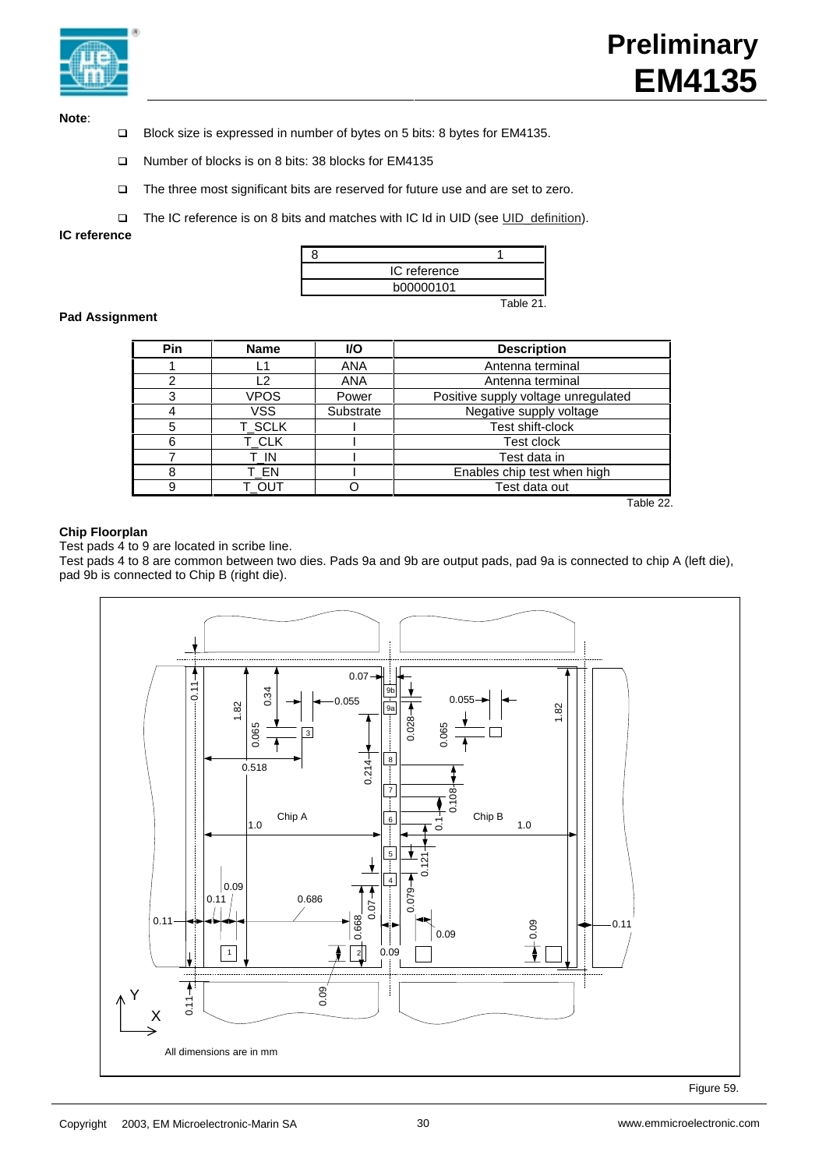

**Note**:

- □ Block size is expressed in number of bytes on 5 bits: 8 bytes for EM4135.
- q Number of blocks is on 8 bits: 38 blocks for EM4135
- □ The three most significant bits are reserved for future use and are set to zero.
- The IC reference is on 8 bits and matches with IC Id in UID (see UID\_definition).

**IC reference**



## **Pad Assignment**

| <b>Pin</b> | <b>Name</b> | <b>VO</b>  | <b>Description</b>                  |
|------------|-------------|------------|-------------------------------------|
|            | L1          | <b>ANA</b> | Antenna terminal                    |
|            | -2          | <b>ANA</b> | Antenna terminal                    |
| 3          | <b>VPOS</b> | Power      | Positive supply voltage unregulated |
|            | <b>VSS</b>  | Substrate  | Negative supply voltage             |
| 5          | T_SCLK      |            | Test shift-clock                    |
| 6          | T_CLK       |            | Test clock                          |
|            | T IN        |            | Test data in                        |
|            | T EN        |            | Enables chip test when high         |
|            | τ ουτ       |            | Test data out                       |

Table 22.

# **Chip Floorplan**

Test pads 4 to 9 are located in scribe line.

Test pads 4 to 8 are common between two dies. Pads 9a and 9b are output pads, pad 9a is connected to chip A (left die), pad 9b is connected to Chip B (right die).